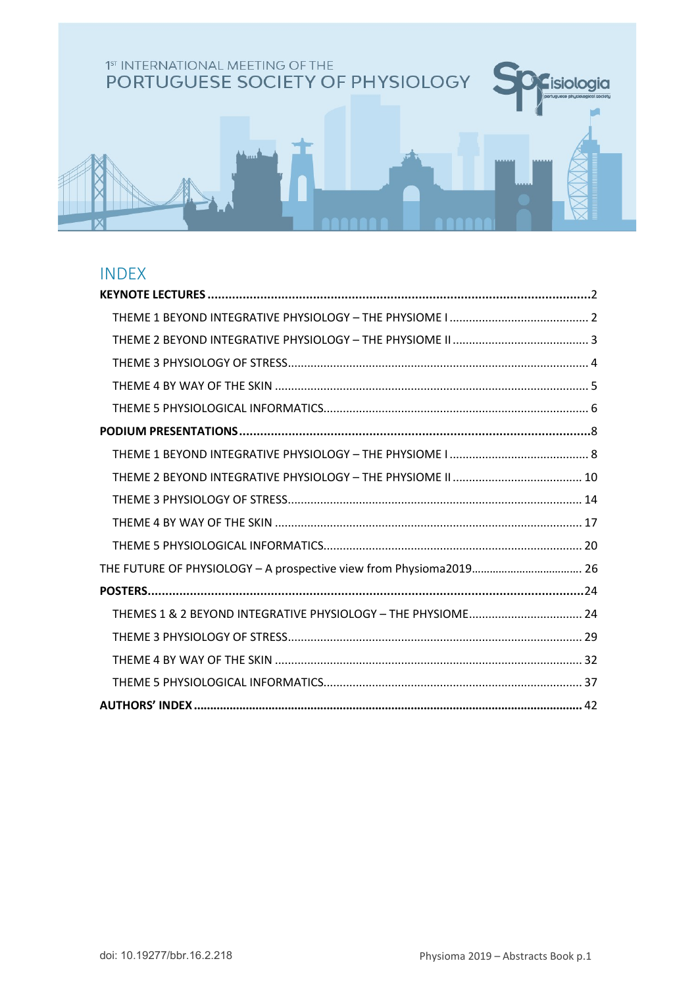

# **INDEX**

| THEMES 1 & 2 BEYOND INTEGRATIVE PHYSIOLOGY - THE PHYSIOME 24 |  |
|--------------------------------------------------------------|--|
|                                                              |  |
|                                                              |  |
|                                                              |  |
|                                                              |  |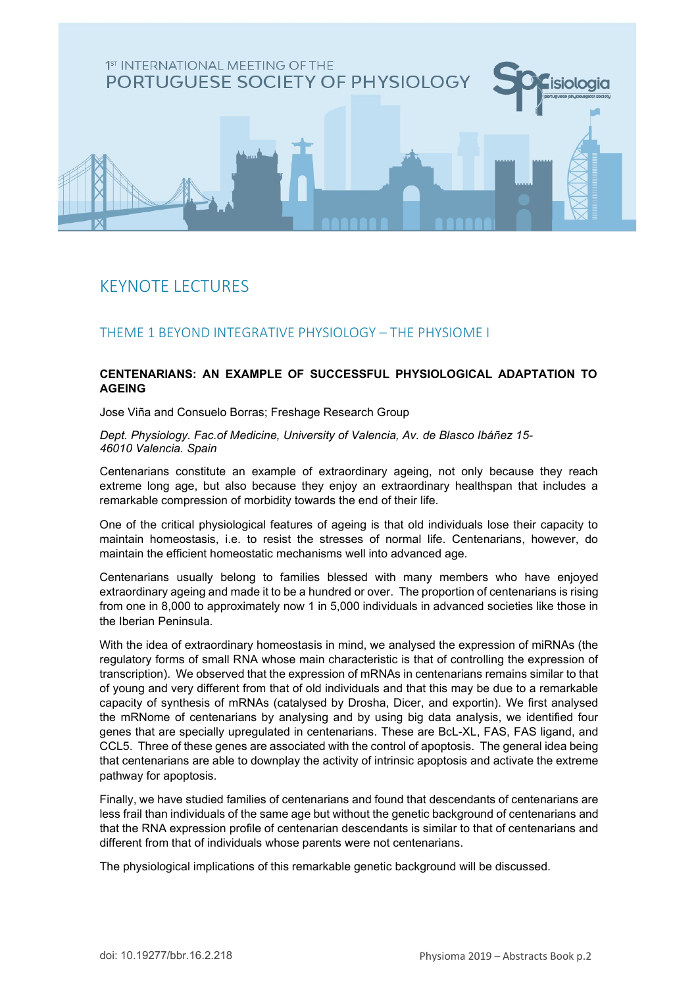

# <span id="page-1-0"></span>KEYNOTE LECTURES

# <span id="page-1-1"></span>THEME 1 BEYOND INTEGRATIVE PHYSIOLOGY – THE PHYSIOME I

#### **CENTENARIANS: AN EXAMPLE OF SUCCESSFUL PHYSIOLOGICAL ADAPTATION TO AGEING**

Jose Viña and Consuelo Borras; Freshage Research Group

*Dept. Physiology. Fac.of Medicine, University of Valencia, Av. de Blasco Ibáñez 15- 46010 Valencia. Spain*

Centenarians constitute an example of extraordinary ageing, not only because they reach extreme long age, but also because they enjoy an extraordinary healthspan that includes a remarkable compression of morbidity towards the end of their life.

One of the critical physiological features of ageing is that old individuals lose their capacity to maintain homeostasis, i.e. to resist the stresses of normal life. Centenarians, however, do maintain the efficient homeostatic mechanisms well into advanced age.

Centenarians usually belong to families blessed with many members who have enjoyed extraordinary ageing and made it to be a hundred or over. The proportion of centenarians is rising from one in 8,000 to approximately now 1 in 5,000 individuals in advanced societies like those in the Iberian Peninsula.

With the idea of extraordinary homeostasis in mind, we analysed the expression of miRNAs (the regulatory forms of small RNA whose main characteristic is that of controlling the expression of transcription). We observed that the expression of mRNAs in centenarians remains similar to that of young and very different from that of old individuals and that this may be due to a remarkable capacity of synthesis of mRNAs (catalysed by Drosha, Dicer, and exportin). We first analysed the mRNome of centenarians by analysing and by using big data analysis, we identified four genes that are specially upregulated in centenarians. These are BcL-XL, FAS, FAS ligand, and CCL5. Three of these genes are associated with the control of apoptosis. The general idea being that centenarians are able to downplay the activity of intrinsic apoptosis and activate the extreme pathway for apoptosis.

Finally, we have studied families of centenarians and found that descendants of centenarians are less frail than individuals of the same age but without the genetic background of centenarians and that the RNA expression profile of centenarian descendants is similar to that of centenarians and different from that of individuals whose parents were not centenarians.

The physiological implications of this remarkable genetic background will be discussed.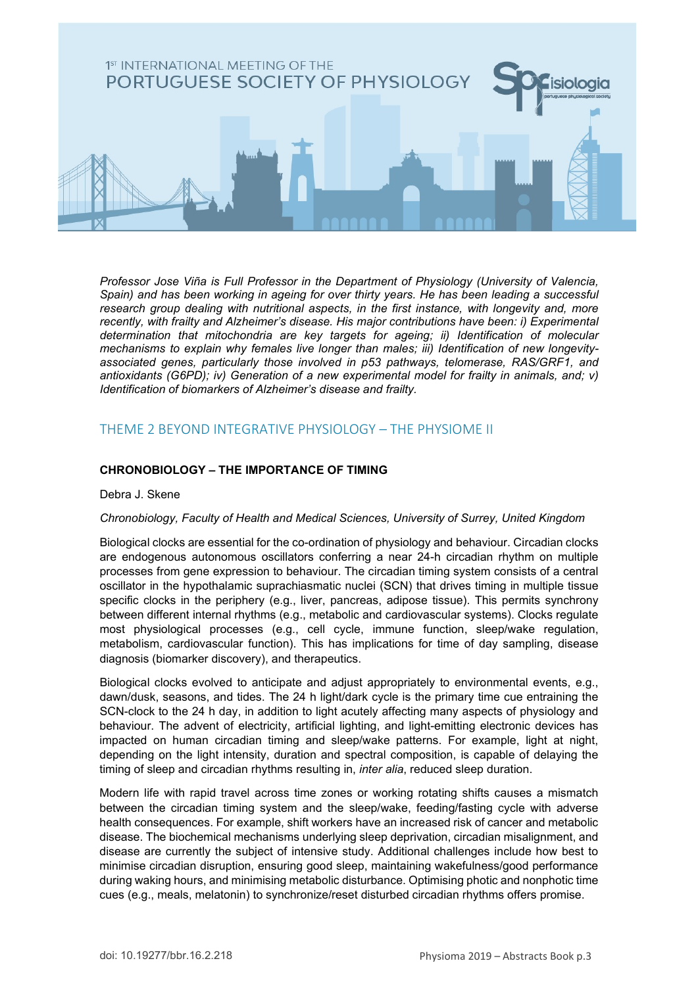

*Professor Jose Viña is Full Professor in the Department of Physiology (University of Valencia, Spain) and has been working in ageing for over thirty years. He has been leading a successful research group dealing with nutritional aspects, in the first instance, with longevity and, more recently, with frailty and Alzheimer's disease. His major contributions have been: i) Experimental determination that mitochondria are key targets for ageing; ii) Identification of molecular mechanisms to explain why females live longer than males; iii) Identification of new longevityassociated genes, particularly those involved in p53 pathways, telomerase, RAS/GRF1, and antioxidants (G6PD); iv) Generation of a new experimental model for frailty in animals, and; v) Identification of biomarkers of Alzheimer's disease and frailty.*

# <span id="page-2-0"></span>THEME 2 BEYOND INTEGRATIVE PHYSIOLOGY – THE PHYSIOME II

## **CHRONOBIOLOGY – THE IMPORTANCE OF TIMING**

#### Debra J. Skene

#### *Chronobiology, Faculty of Health and Medical Sciences, University of Surrey, United Kingdom*

Biological clocks are essential for the co-ordination of physiology and behaviour. Circadian clocks are endogenous autonomous oscillators conferring a near 24-h circadian rhythm on multiple processes from gene expression to behaviour. The circadian timing system consists of a central oscillator in the hypothalamic suprachiasmatic nuclei (SCN) that drives timing in multiple tissue specific clocks in the periphery (e.g., liver, pancreas, adipose tissue). This permits synchrony between different internal rhythms (e.g., metabolic and cardiovascular systems). Clocks regulate most physiological processes (e.g., cell cycle, immune function, sleep/wake regulation, metabolism, cardiovascular function). This has implications for time of day sampling, disease diagnosis (biomarker discovery), and therapeutics.

Biological clocks evolved to anticipate and adjust appropriately to environmental events, e.g., dawn/dusk, seasons, and tides. The 24 h light/dark cycle is the primary time cue entraining the SCN-clock to the 24 h day, in addition to light acutely affecting many aspects of physiology and behaviour. The advent of electricity, artificial lighting, and light-emitting electronic devices has impacted on human circadian timing and sleep/wake patterns. For example, light at night, depending on the light intensity, duration and spectral composition, is capable of delaying the timing of sleep and circadian rhythms resulting in, *inter alia*, reduced sleep duration.

Modern life with rapid travel across time zones or working rotating shifts causes a mismatch between the circadian timing system and the sleep/wake, feeding/fasting cycle with adverse health consequences. For example, shift workers have an increased risk of cancer and metabolic disease. The biochemical mechanisms underlying sleep deprivation, circadian misalignment, and disease are currently the subject of intensive study. Additional challenges include how best to minimise circadian disruption, ensuring good sleep, maintaining wakefulness/good performance during waking hours, and minimising metabolic disturbance. Optimising photic and nonphotic time cues (e.g., meals, melatonin) to synchronize/reset disturbed circadian rhythms offers promise.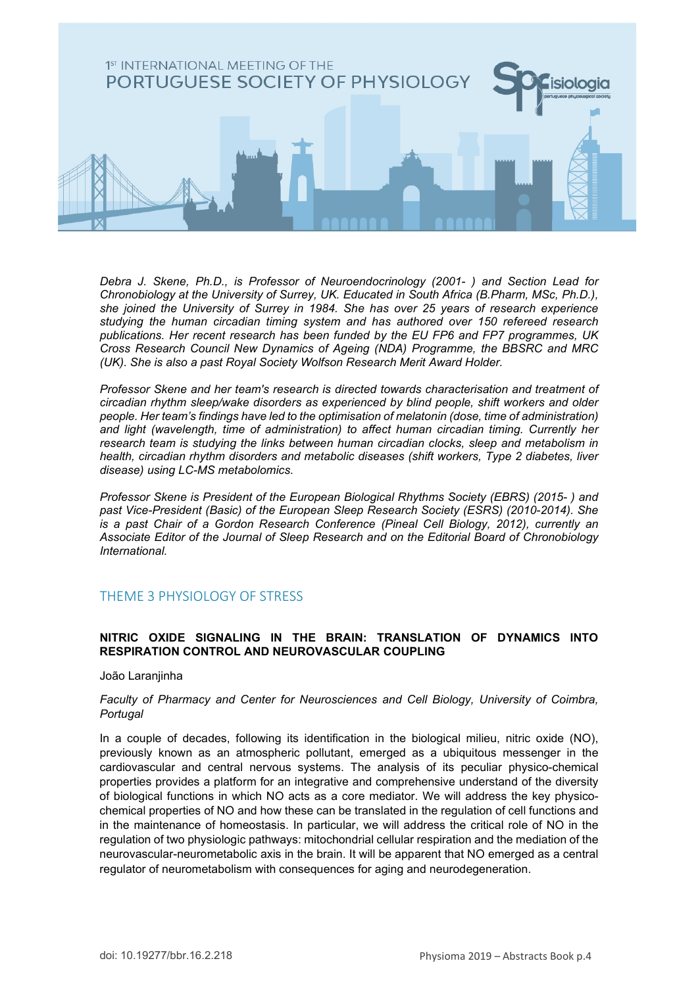

*Debra J. Skene, Ph.D., is Professor of Neuroendocrinology (2001- ) and Section Lead for Chronobiology at the University of Surrey, UK. Educated in South Africa (B.Pharm, MSc, Ph.D.), she joined the University of Surrey in 1984. She has over 25 years of research experience studying the human circadian timing system and has authored over 150 refereed research publications. Her recent research has been funded by the EU FP6 and FP7 programmes, UK Cross Research Council New Dynamics of Ageing (NDA) Programme, the BBSRC and MRC (UK). She is also a past Royal Society Wolfson Research Merit Award Holder.*

*Professor Skene and her team's research is directed towards characterisation and treatment of circadian rhythm sleep/wake disorders as experienced by blind people, shift workers and older people. Her team's findings have led to the optimisation of melatonin (dose, time of administration) and light (wavelength, time of administration) to affect human circadian timing. Currently her research team is studying the links between human circadian clocks, sleep and metabolism in health, circadian rhythm disorders and metabolic diseases (shift workers, Type 2 diabetes, liver disease) using LC-MS metabolomics.*

*Professor Skene is President of the European Biological Rhythms Society (EBRS) (2015- ) and past Vice-President (Basic) of the European Sleep Research Society (ESRS) (2010-2014). She is a past Chair of a Gordon Research Conference (Pineal Cell Biology, 2012), currently an Associate Editor of the Journal of Sleep Research and on the Editorial Board of Chronobiology International.*

# <span id="page-3-0"></span>THEME 3 PHYSIOLOGY OF STRESS

#### **NITRIC OXIDE SIGNALING IN THE BRAIN: TRANSLATION OF DYNAMICS INTO RESPIRATION CONTROL AND NEUROVASCULAR COUPLING**

#### João Laranjinha

#### *Faculty of Pharmacy and Center for Neurosciences and Cell Biology, University of Coimbra, Portugal*

In a couple of decades, following its identification in the biological milieu, nitric oxide (NO), previously known as an atmospheric pollutant, emerged as a ubiquitous messenger in the cardiovascular and central nervous systems. The analysis of its peculiar physico-chemical properties provides a platform for an integrative and comprehensive understand of the diversity of biological functions in which NO acts as a core mediator. We will address the key physicochemical properties of NO and how these can be translated in the regulation of cell functions and in the maintenance of homeostasis. In particular, we will address the critical role of NO in the regulation of two physiologic pathways: mitochondrial cellular respiration and the mediation of the neurovascular-neurometabolic axis in the brain. It will be apparent that NO emerged as a central regulator of neurometabolism with consequences for aging and neurodegeneration.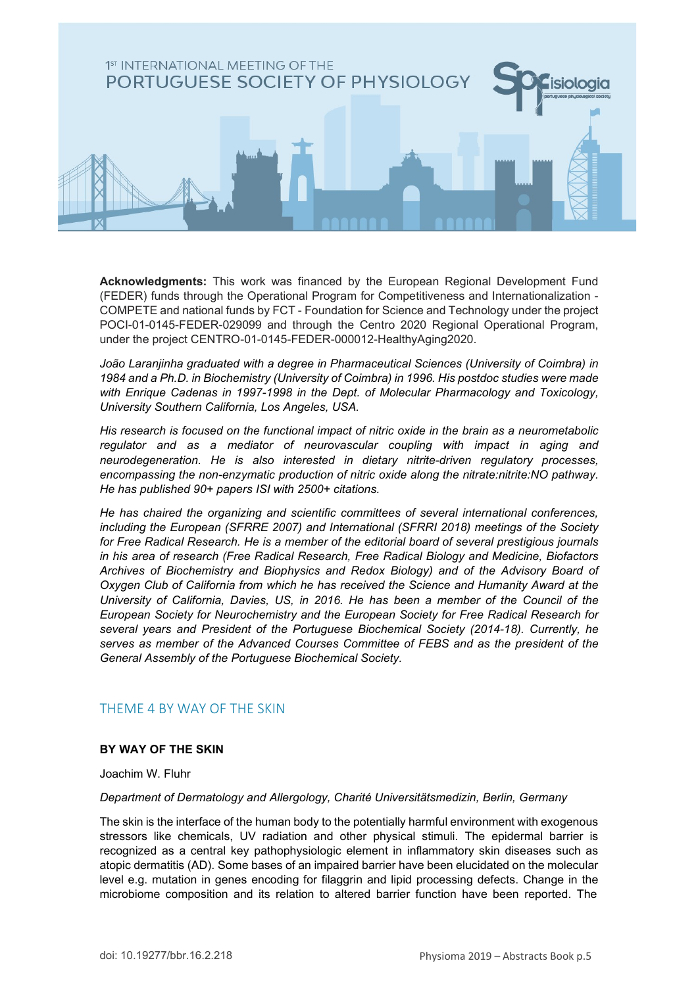

**Acknowledgments:** This work was financed by the European Regional Development Fund (FEDER) funds through the Operational Program for Competitiveness and Internationalization - COMPETE and national funds by FCT - Foundation for Science and Technology under the project POCI-01-0145-FEDER-029099 and through the Centro 2020 Regional Operational Program, under the project CENTRO-01-0145-FEDER-000012-HealthyAging2020.

*João Laranjinha graduated with a degree in Pharmaceutical Sciences (University of Coimbra) in 1984 and a Ph.D. in Biochemistry (University of Coimbra) in 1996. His postdoc studies were made with Enrique Cadenas in 1997-1998 in the Dept. of Molecular Pharmacology and Toxicology, University Southern California, Los Angeles, USA.*

*His research is focused on the functional impact of nitric oxide in the brain as a neurometabolic regulator and as a mediator of neurovascular coupling with impact in aging and neurodegeneration. He is also interested in dietary nitrite-driven regulatory processes, encompassing the non-enzymatic production of nitric oxide along the nitrate:nitrite:NO pathway. He has published 90+ papers ISI with 2500+ citations.*

*He has chaired the organizing and scientific committees of several international conferences, including the European (SFRRE 2007) and International (SFRRI 2018) meetings of the Society for Free Radical Research. He is a member of the editorial board of several prestigious journals in his area of research (Free Radical Research, Free Radical Biology and Medicine, Biofactors Archives of Biochemistry and Biophysics and Redox Biology) and of the Advisory Board of Oxygen Club of California from which he has received the Science and Humanity Award at the University of California, Davies, US, in 2016. He has been a member of the Council of the European Society for Neurochemistry and the European Society for Free Radical Research for several years and President of the Portuguese Biochemical Society (2014-18). Currently, he serves as member of the Advanced Courses Committee of FEBS and as the president of the General Assembly of the Portuguese Biochemical Society.*

# <span id="page-4-0"></span>THEME 4 BY WAY OF THE SKIN

#### **BY WAY OF THE SKIN**

Joachim W. Fluhr

#### *Department of Dermatology and Allergology, Charité Universitätsmedizin, Berlin, Germany*

The skin is the interface of the human body to the potentially harmful environment with exogenous stressors like chemicals, UV radiation and other physical stimuli. The epidermal barrier is recognized as a central key pathophysiologic element in inflammatory skin diseases such as atopic dermatitis (AD). Some bases of an impaired barrier have been elucidated on the molecular level e.g. mutation in genes encoding for filaggrin and lipid processing defects. Change in the microbiome composition and its relation to altered barrier function have been reported. The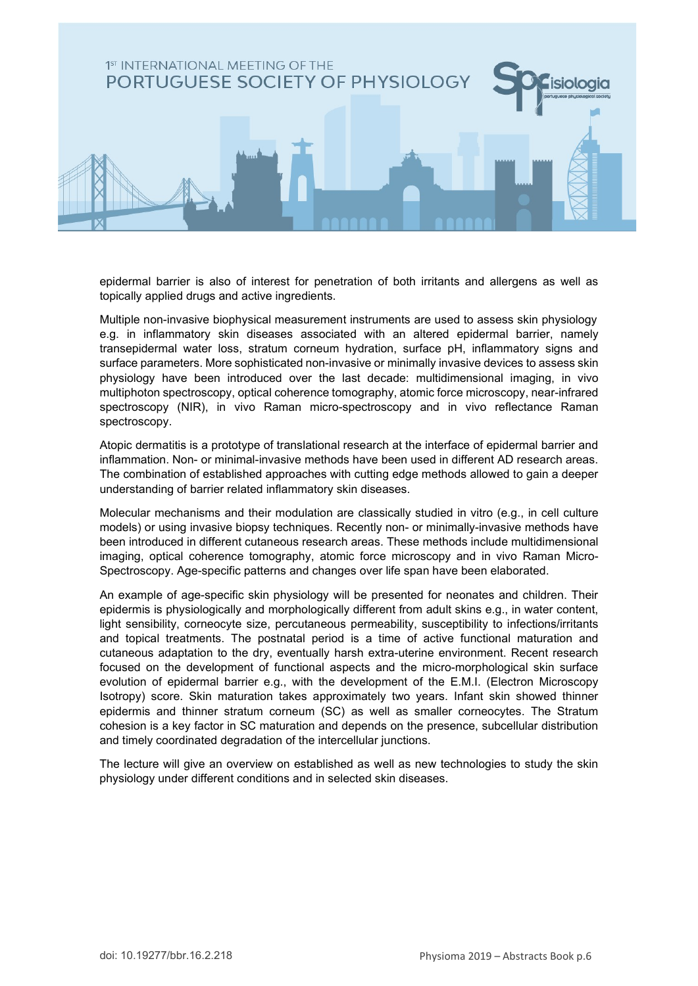

epidermal barrier is also of interest for penetration of both irritants and allergens as well as topically applied drugs and active ingredients.

Multiple non-invasive biophysical measurement instruments are used to assess skin physiology e.g. in inflammatory skin diseases associated with an altered epidermal barrier, namely transepidermal water loss, stratum corneum hydration, surface pH, inflammatory signs and surface parameters. More sophisticated non-invasive or minimally invasive devices to assess skin physiology have been introduced over the last decade: multidimensional imaging, in vivo multiphoton spectroscopy, optical coherence tomography, atomic force microscopy, near-infrared spectroscopy (NIR), in vivo Raman micro-spectroscopy and in vivo reflectance Raman spectroscopy.

Atopic dermatitis is a prototype of translational research at the interface of epidermal barrier and inflammation. Non- or minimal-invasive methods have been used in different AD research areas. The combination of established approaches with cutting edge methods allowed to gain a deeper understanding of barrier related inflammatory skin diseases.

Molecular mechanisms and their modulation are classically studied in vitro (e.g., in cell culture models) or using invasive biopsy techniques. Recently non- or minimally-invasive methods have been introduced in different cutaneous research areas. These methods include multidimensional imaging, optical coherence tomography, atomic force microscopy and in vivo Raman Micro-Spectroscopy. Age-specific patterns and changes over life span have been elaborated.

An example of age-specific skin physiology will be presented for neonates and children. Their epidermis is physiologically and morphologically different from adult skins e.g., in water content, light sensibility, corneocyte size, percutaneous permeability, susceptibility to infections/irritants and topical treatments. The postnatal period is a time of active functional maturation and cutaneous adaptation to the dry, eventually harsh extra-uterine environment. Recent research focused on the development of functional aspects and the micro-morphological skin surface evolution of epidermal barrier e.g., with the development of the E.M.I. (Electron Microscopy Isotropy) score. Skin maturation takes approximately two years. Infant skin showed thinner epidermis and thinner stratum corneum (SC) as well as smaller corneocytes. The Stratum cohesion is a key factor in SC maturation and depends on the presence, subcellular distribution and timely coordinated degradation of the intercellular junctions.

The lecture will give an overview on established as well as new technologies to study the skin physiology under different conditions and in selected skin diseases.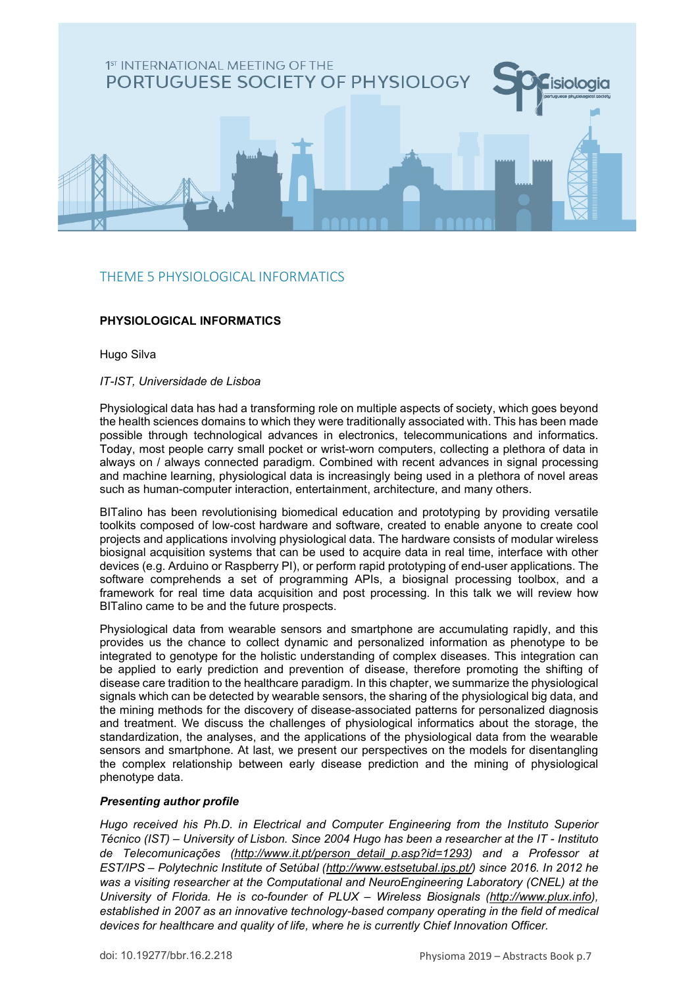

# <span id="page-6-0"></span>THEME 5 PHYSIOLOGICAL INFORMATICS

## **PHYSIOLOGICAL INFORMATICS**

Hugo Silva

#### *IT-IST, Universidade de Lisboa*

Physiological data has had a transforming role on multiple aspects of society, which goes beyond the health sciences domains to which they were traditionally associated with. This has been made possible through technological advances in electronics, telecommunications and informatics. Today, most people carry small pocket or wrist-worn computers, collecting a plethora of data in always on / always connected paradigm. Combined with recent advances in signal processing and machine learning, physiological data is increasingly being used in a plethora of novel areas such as human-computer interaction, entertainment, architecture, and many others.

BITalino has been revolutionising biomedical education and prototyping by providing versatile toolkits composed of low-cost hardware and software, created to enable anyone to create cool projects and applications involving physiological data. The hardware consists of modular wireless biosignal acquisition systems that can be used to acquire data in real time, interface with other devices (e.g. Arduino or Raspberry PI), or perform rapid prototyping of end-user applications. The software comprehends a set of programming APIs, a biosignal processing toolbox, and a framework for real time data acquisition and post processing. In this talk we will review how BITalino came to be and the future prospects.

Physiological data from wearable sensors and smartphone are accumulating rapidly, and this provides us the chance to collect dynamic and personalized information as phenotype to be integrated to genotype for the holistic understanding of complex diseases. This integration can be applied to early prediction and prevention of disease, therefore promoting the shifting of disease care tradition to the healthcare paradigm. In this chapter, we summarize the physiological signals which can be detected by wearable sensors, the sharing of the physiological big data, and the mining methods for the discovery of disease-associated patterns for personalized diagnosis and treatment. We discuss the challenges of physiological informatics about the storage, the standardization, the analyses, and the applications of the physiological data from the wearable sensors and smartphone. At last, we present our perspectives on the models for disentangling the complex relationship between early disease prediction and the mining of physiological phenotype data.

#### *Presenting author profile*

*Hugo received his Ph.D. in Electrical and Computer Engineering from the Instituto Superior Técnico (IST) – University of Lisbon. Since 2004 Hugo has been a researcher at the IT - Instituto de Telecomunicações [\(http://www.it.pt/person\\_detail\\_p.asp?id=1293\)](http://www.it.pt/person_detail_p.asp?id=1293) and a Professor at EST/IPS – Polytechnic Institute of Setúbal [\(http://www.estsetubal.ips.pt/\)](http://www.estsetubal.ips.pt/) since 2016. In 2012 he was a visiting researcher at the Computational and NeuroEngineering Laboratory (CNEL) at the University of Florida. He is co-founder of PLUX – Wireless Biosignals [\(http://www.plux.info\)](http://www.plux.info/), established in 2007 as an innovative technology-based company operating in the field of medical devices for healthcare and quality of life, where he is currently Chief Innovation Officer.*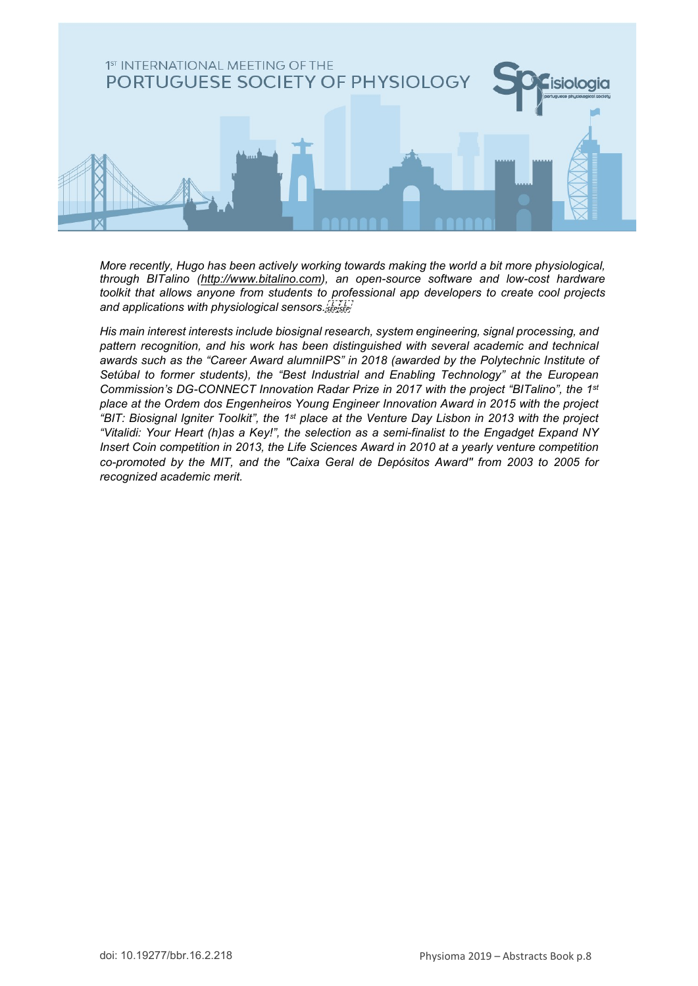

*More recently, Hugo has been actively working towards making the world a bit more physiological, through BITalino [\(http://www.bitalino.com\)](http://www.bitalino.com/), an open-source software and low-cost hardware toolkit that allows anyone from students to professional app developers to create cool projects and applications with physiological sensors.*

*His main interest interests include biosignal research, system engineering, signal processing, and pattern recognition, and his work has been distinguished with several academic and technical awards such as the "Career Award alumniIPS" in 2018 (awarded by the Polytechnic Institute of Setúbal to former students), the "Best Industrial and Enabling Technology" at the European Commission's DG-CONNECT Innovation Radar Prize in 2017 with the project "BITalino", the 1st place at the Ordem dos Engenheiros Young Engineer Innovation Award in 2015 with the project "BIT: Biosignal Igniter Toolkit", the 1st place at the Venture Day Lisbon in 2013 with the project "Vitalidi: Your Heart (h)as a Key!", the selection as a semi-finalist to the Engadget Expand NY Insert Coin competition in 2013, the Life Sciences Award in 2010 at a yearly venture competition co-promoted by the MIT, and the "Caixa Geral de Depósitos Award'' from 2003 to 2005 for recognized academic merit.*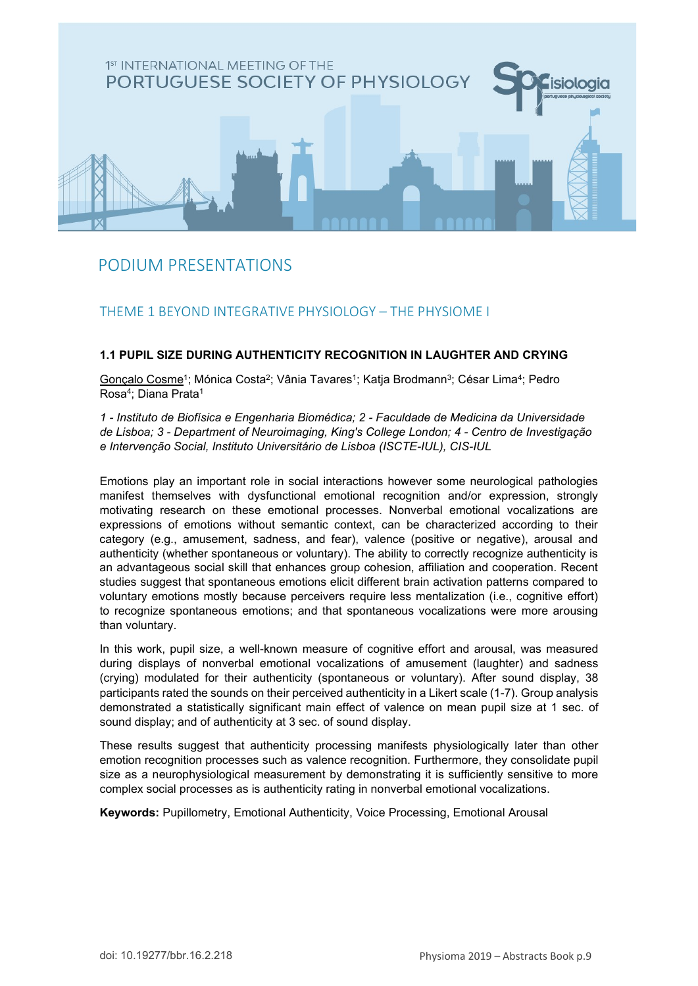

# PODIUM PRESENTATIONS

# <span id="page-8-0"></span>THEME 1 BEYOND INTEGRATIVE PHYSIOLOGY – THE PHYSIOME I

## **1.1 PUPIL SIZE DURING AUTHENTICITY RECOGNITION IN LAUGHTER AND CRYING**

Gonçalo Cosme<sup>1</sup>; Mónica Costa<sup>2</sup>; Vânia Tavares<sup>1</sup>; Katja Brodmann<sup>3</sup>; César Lima<sup>4</sup>; Pedro Rosa4; Diana Prata1

*1 - Instituto de Biofísica e Engenharia Biomédica; 2 - Faculdade de Medicina da Universidade de Lisboa; 3 - Department of Neuroimaging, King's College London; 4 - Centro de Investigação e Intervenção Social, Instituto Universitário de Lisboa (ISCTE-IUL), CIS-IUL*

Emotions play an important role in social interactions however some neurological pathologies manifest themselves with dysfunctional emotional recognition and/or expression, strongly motivating research on these emotional processes. Nonverbal emotional vocalizations are expressions of emotions without semantic context, can be characterized according to their category (e.g., amusement, sadness, and fear), valence (positive or negative), arousal and authenticity (whether spontaneous or voluntary). The ability to correctly recognize authenticity is an advantageous social skill that enhances group cohesion, affiliation and cooperation. Recent studies suggest that spontaneous emotions elicit different brain activation patterns compared to voluntary emotions mostly because perceivers require less mentalization (i.e., cognitive effort) to recognize spontaneous emotions; and that spontaneous vocalizations were more arousing than voluntary.

In this work, pupil size, a well-known measure of cognitive effort and arousal, was measured during displays of nonverbal emotional vocalizations of amusement (laughter) and sadness (crying) modulated for their authenticity (spontaneous or voluntary). After sound display, 38 participants rated the sounds on their perceived authenticity in a Likert scale (1-7). Group analysis demonstrated a statistically significant main effect of valence on mean pupil size at 1 sec. of sound display; and of authenticity at 3 sec. of sound display.

These results suggest that authenticity processing manifests physiologically later than other emotion recognition processes such as valence recognition. Furthermore, they consolidate pupil size as a neurophysiological measurement by demonstrating it is sufficiently sensitive to more complex social processes as is authenticity rating in nonverbal emotional vocalizations.

**Keywords:** Pupillometry, Emotional Authenticity, Voice Processing, Emotional Arousal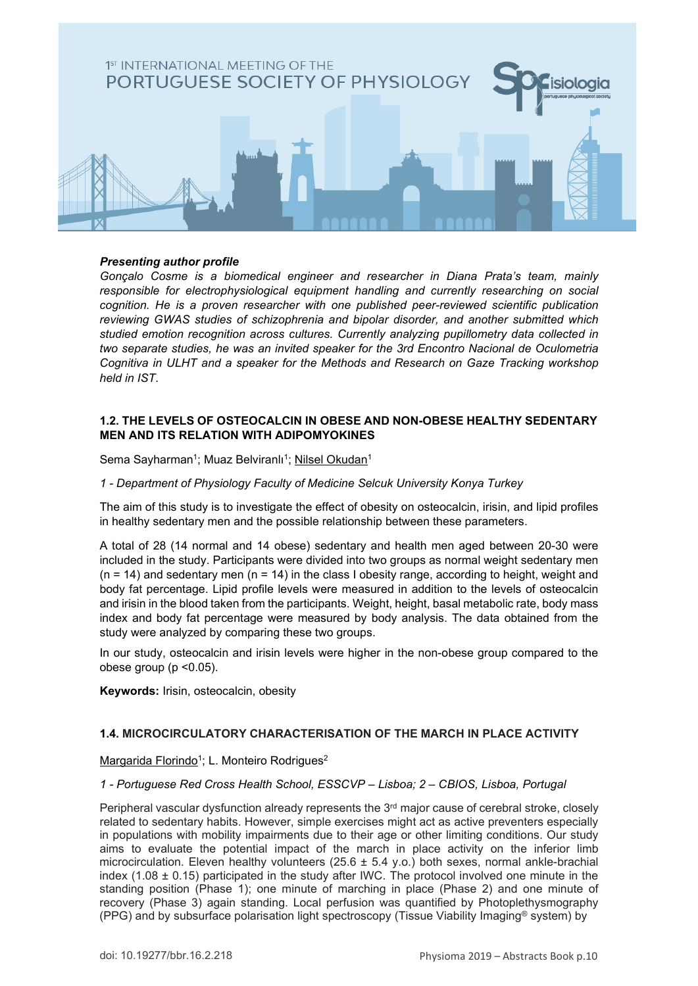

#### *Presenting author profile*

*Gonçalo Cosme is a biomedical engineer and researcher in Diana Prata's team, mainly responsible for electrophysiological equipment handling and currently researching on social cognition. He is a proven researcher with one published peer-reviewed scientific publication reviewing GWAS studies of schizophrenia and bipolar disorder, and another submitted which studied emotion recognition across cultures. Currently analyzing pupillometry data collected in two separate studies, he was an invited speaker for the 3rd Encontro Nacional de Oculometria Cognitiva in ULHT and a speaker for the Methods and Research on Gaze Tracking workshop held in IST.*

### **1.2. THE LEVELS OF OSTEOCALCIN IN OBESE AND NON-OBESE HEALTHY SEDENTARY MEN AND ITS RELATION WITH ADIPOMYOKINES**

Sema Sayharman<sup>1</sup>; Muaz Belviranlı<sup>1</sup>; Nilsel Okudan<sup>1</sup>

*1 - Department of Physiology Faculty of Medicine Selcuk University Konya Turkey*

The aim of this study is to investigate the effect of obesity on osteocalcin, irisin, and lipid profiles in healthy sedentary men and the possible relationship between these parameters.

A total of 28 (14 normal and 14 obese) sedentary and health men aged between 20-30 were included in the study. Participants were divided into two groups as normal weight sedentary men  $(n = 14)$  and sedentary men  $(n = 14)$  in the class I obesity range, according to height, weight and body fat percentage. Lipid profile levels were measured in addition to the levels of osteocalcin and irisin in the blood taken from the participants. Weight, height, basal metabolic rate, body mass index and body fat percentage were measured by body analysis. The data obtained from the study were analyzed by comparing these two groups.

In our study, osteocalcin and irisin levels were higher in the non-obese group compared to the obese group (p <0.05).

**Keywords:** Irisin, osteocalcin, obesity

#### **1.4. MICROCIRCULATORY CHARACTERISATION OF THE MARCH IN PLACE ACTIVITY**

Margarida Florindo<sup>1</sup>; L. Monteiro Rodrigues<sup>2</sup>

#### *1 - Portuguese Red Cross Health School, ESSCVP – Lisboa; 2 – CBIOS, Lisboa, Portugal*

Peripheral vascular dysfunction already represents the  $3<sup>rd</sup>$  major cause of cerebral stroke, closely related to sedentary habits. However, simple exercises might act as active preventers especially in populations with mobility impairments due to their age or other limiting conditions. Our study aims to evaluate the potential impact of the march in place activity on the inferior limb microcirculation. Eleven healthy volunteers (25.6  $\pm$  5.4 y.o.) both sexes, normal ankle-brachial index (1.08 ± 0.15) participated in the study after IWC. The protocol involved one minute in the standing position (Phase 1); one minute of marching in place (Phase 2) and one minute of recovery (Phase 3) again standing. Local perfusion was quantified by Photoplethysmography (PPG) and by subsurface polarisation light spectroscopy (Tissue Viability Imaging® system) by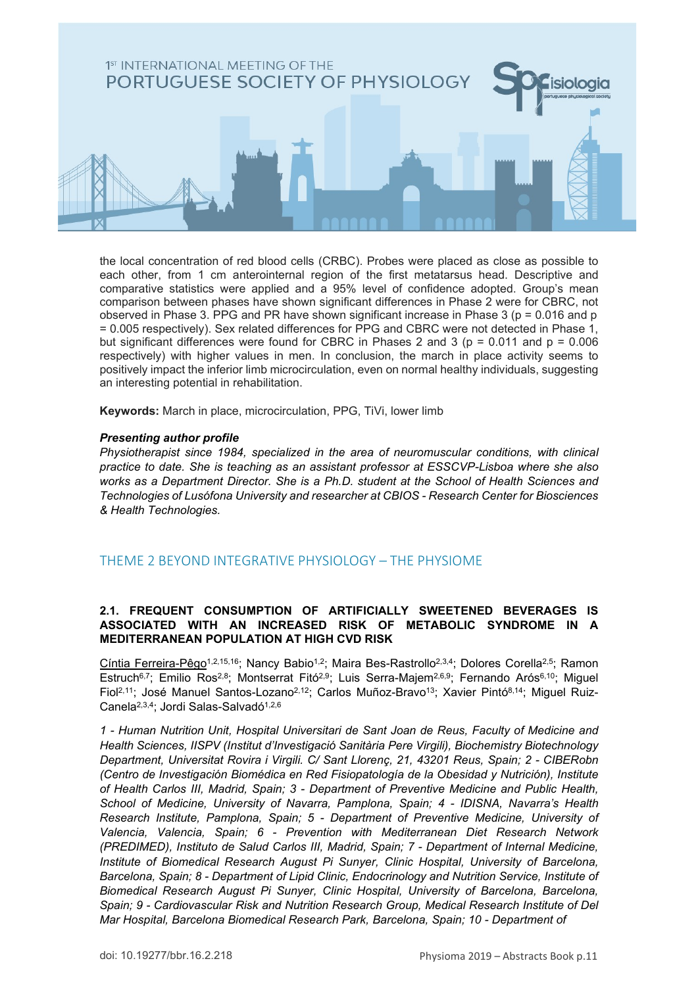

the local concentration of red blood cells (CRBC). Probes were placed as close as possible to each other, from 1 cm anterointernal region of the first metatarsus head. Descriptive and comparative statistics were applied and a 95% level of confidence adopted. Group's mean comparison between phases have shown significant differences in Phase 2 were for CBRC, not observed in Phase 3. PPG and PR have shown significant increase in Phase 3 ( $p = 0.016$  and p = 0.005 respectively). Sex related differences for PPG and CBRC were not detected in Phase 1, but significant differences were found for CBRC in Phases 2 and 3 ( $p = 0.011$  and  $p = 0.006$ respectively) with higher values in men. In conclusion, the march in place activity seems to positively impact the inferior limb microcirculation, even on normal healthy individuals, suggesting an interesting potential in rehabilitation.

**Keywords:** March in place, microcirculation, PPG, TiVi, lower limb

#### *Presenting author profile*

*Physiotherapist since 1984, specialized in the area of neuromuscular conditions, with clinical practice to date. She is teaching as an assistant professor at ESSCVP-Lisboa where she also works as a Department Director. She is a Ph.D. student at the School of Health Sciences and Technologies of Lusófona University and researcher at CBIOS - Research Center for Biosciences & Health Technologies.*

# <span id="page-10-0"></span>THEME 2 BEYOND INTEGRATIVE PHYSIOLOGY – THE PHYSIOME

### **2.1. FREQUENT CONSUMPTION OF ARTIFICIALLY SWEETENED BEVERAGES IS ASSOCIATED WITH AN INCREASED RISK OF METABOLIC SYNDROME IN A MEDITERRANEAN POPULATION AT HIGH CVD RISK**

Cíntia Ferreira-Pêgo<sup>1,2,15,16</sup>; Nancy Babio<sup>1,2</sup>; Maira Bes-Rastrollo<sup>2,3,4</sup>; Dolores Corella<sup>2,5</sup>; Ramon Estruch<sup>6,7</sup>; Emilio Ros<sup>2,8</sup>; Montserrat Fitó<sup>2,9</sup>; Luis Serra-Majem<sup>2,6,9</sup>; Fernando Arós<sup>6,10</sup>; Miguel Fiol<sup>2,11</sup>; José Manuel Santos-Lozano<sup>2,12</sup>; Carlos Muñoz-Bravo<sup>13</sup>; Xavier Pintó<sup>8,14</sup>; Miguel Ruiz-Canela<sup>2,3,4</sup>; Jordi Salas-Salvadó<sup>1,2,6</sup>

*1 - Human Nutrition Unit, Hospital Universitari de Sant Joan de Reus, Faculty of Medicine and Health Sciences, IISPV (Institut d'Investigació Sanitària Pere Virgili), Biochemistry Biotechnology Department, Universitat Rovira i Virgili. C/ Sant Llorenç, 21, 43201 Reus, Spain; 2 - CIBERobn (Centro de Investigación Biomédica en Red Fisiopatología de la Obesidad y Nutrición), Institute of Health Carlos III, Madrid, Spain; 3 - Department of Preventive Medicine and Public Health, School of Medicine, University of Navarra, Pamplona, Spain; 4 - IDISNA, Navarra's Health Research Institute, Pamplona, Spain; 5 - Department of Preventive Medicine, University of Valencia, Valencia, Spain; 6 - Prevention with Mediterranean Diet Research Network (PREDIMED), Instituto de Salud Carlos III, Madrid, Spain; 7 - Department of Internal Medicine, Institute of Biomedical Research August Pi Sunyer, Clinic Hospital, University of Barcelona, Barcelona, Spain; 8 - Department of Lipid Clinic, Endocrinology and Nutrition Service, Institute of Biomedical Research August Pi Sunyer, Clinic Hospital, University of Barcelona, Barcelona, Spain; 9 - Cardiovascular Risk and Nutrition Research Group, Medical Research Institute of Del Mar Hospital, Barcelona Biomedical Research Park, Barcelona, Spain; 10 - Department of*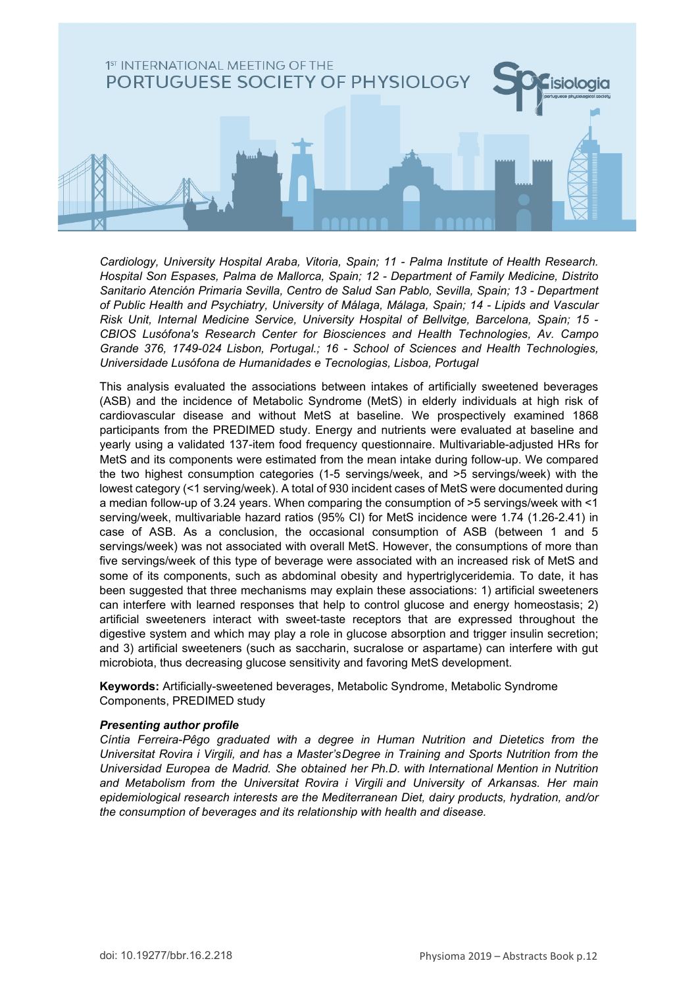

*Cardiology, University Hospital Araba, Vitoria, Spain; 11 - Palma Institute of Health Research. Hospital Son Espases, Palma de Mallorca, Spain; 12 - Department of Family Medicine, Distrito Sanitario Atención Primaria Sevilla, Centro de Salud San Pablo, Sevilla, Spain; 13 - Department of Public Health and Psychiatry, University of Málaga, Málaga, Spain; 14 - Lipids and Vascular Risk Unit, Internal Medicine Service, University Hospital of Bellvitge, Barcelona, Spain; 15 - CBIOS Lusófona's Research Center for Biosciences and Health Technologies, Av. Campo Grande 376, 1749-024 Lisbon, Portugal.; 16 - School of Sciences and Health Technologies, Universidade Lusófona de Humanidades e Tecnologias, Lisboa, Portugal*

This analysis evaluated the associations between intakes of artificially sweetened beverages (ASB) and the incidence of Metabolic Syndrome (MetS) in elderly individuals at high risk of cardiovascular disease and without MetS at baseline. We prospectively examined 1868 participants from the PREDIMED study. Energy and nutrients were evaluated at baseline and yearly using a validated 137-item food frequency questionnaire. Multivariable-adjusted HRs for MetS and its components were estimated from the mean intake during follow-up. We compared the two highest consumption categories (1-5 servings/week, and >5 servings/week) with the lowest category (<1 serving/week). A total of 930 incident cases of MetS were documented during a median follow-up of 3.24 years. When comparing the consumption of >5 servings/week with <1 serving/week, multivariable hazard ratios (95% CI) for MetS incidence were 1.74 (1.26-2.41) in case of ASB. As a conclusion, the occasional consumption of ASB (between 1 and 5 servings/week) was not associated with overall MetS. However, the consumptions of more than five servings/week of this type of beverage were associated with an increased risk of MetS and some of its components, such as abdominal obesity and hypertriglyceridemia. To date, it has been suggested that three mechanisms may explain these associations: 1) artificial sweeteners can interfere with learned responses that help to control glucose and energy homeostasis; 2) artificial sweeteners interact with sweet-taste receptors that are expressed throughout the digestive system and which may play a role in glucose absorption and trigger insulin secretion; and 3) artificial sweeteners (such as saccharin, sucralose or aspartame) can interfere with gut microbiota, thus decreasing glucose sensitivity and favoring MetS development.

**Keywords:** Artificially-sweetened beverages, Metabolic Syndrome, Metabolic Syndrome Components, PREDIMED study

#### *Presenting author profile*

*Cíntia Ferreira-Pêgo graduated with a degree in Human Nutrition and Dietetics from the Universitat Rovira i Virgili, and has a Master'sDegree in Training and Sports Nutrition from the Universidad Europea de Madrid. She obtained her Ph.D. with International Mention in Nutrition and Metabolism from the Universitat Rovira i Virgili and University of Arkansas. Her main epidemiological research interests are the Mediterranean Diet, dairy products, hydration, and/or the consumption of beverages and its relationship with health and disease.*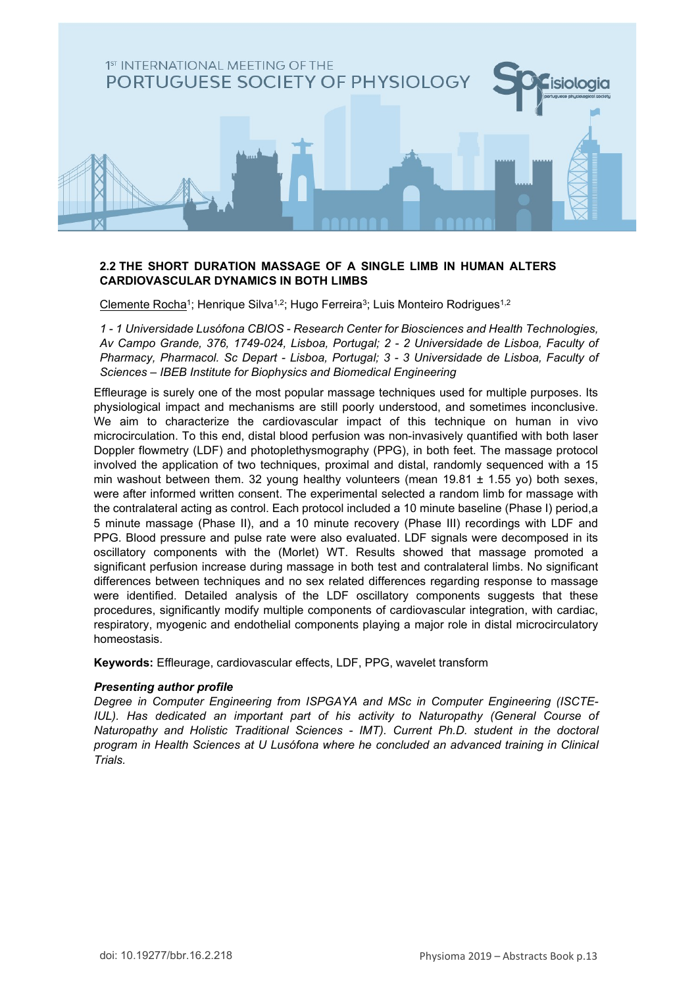

#### **2.2 THE SHORT DURATION MASSAGE OF A SINGLE LIMB IN HUMAN ALTERS CARDIOVASCULAR DYNAMICS IN BOTH LIMBS**

Clemente Rocha<sup>1</sup>; Henrique Silva<sup>1,2</sup>; Hugo Ferreira<sup>3</sup>; Luis Monteiro Rodrigues<sup>1,2</sup>

*1 - 1 Universidade Lusófona CBIOS - Research Center for Biosciences and Health Technologies, Av Campo Grande, 376, 1749-024, Lisboa, Portugal; 2 - 2 Universidade de Lisboa, Faculty of Pharmacy, Pharmacol. Sc Depart - Lisboa, Portugal; 3 - 3 Universidade de Lisboa, Faculty of Sciences – IBEB Institute for Biophysics and Biomedical Engineering*

Effleurage is surely one of the most popular massage techniques used for multiple purposes. Its physiological impact and mechanisms are still poorly understood, and sometimes inconclusive. We aim to characterize the cardiovascular impact of this technique on human in vivo microcirculation. To this end, distal blood perfusion was non-invasively quantified with both laser Doppler flowmetry (LDF) and photoplethysmography (PPG), in both feet. The massage protocol involved the application of two techniques, proximal and distal, randomly sequenced with a 15 min washout between them. 32 young healthy volunteers (mean  $19.81 \pm 1.55$  yo) both sexes, were after informed written consent. The experimental selected a random limb for massage with the contralateral acting as control. Each protocol included a 10 minute baseline (Phase I) period,a 5 minute massage (Phase II), and a 10 minute recovery (Phase III) recordings with LDF and PPG. Blood pressure and pulse rate were also evaluated. LDF signals were decomposed in its oscillatory components with the (Morlet) WT. Results showed that massage promoted a significant perfusion increase during massage in both test and contralateral limbs. No significant differences between techniques and no sex related differences regarding response to massage were identified. Detailed analysis of the LDF oscillatory components suggests that these procedures, significantly modify multiple components of cardiovascular integration, with cardiac, respiratory, myogenic and endothelial components playing a major role in distal microcirculatory homeostasis.

**Keywords:** Effleurage, cardiovascular effects, LDF, PPG, wavelet transform

#### *Presenting author profile*

*Degree in Computer Engineering from ISPGAYA and MSc in Computer Engineering (ISCTE-IUL). Has dedicated an important part of his activity to Naturopathy (General Course of Naturopathy and Holistic Traditional Sciences - IMT). Current Ph.D. student in the doctoral program in Health Sciences at U Lusófona where he concluded an advanced training in Clinical Trials.*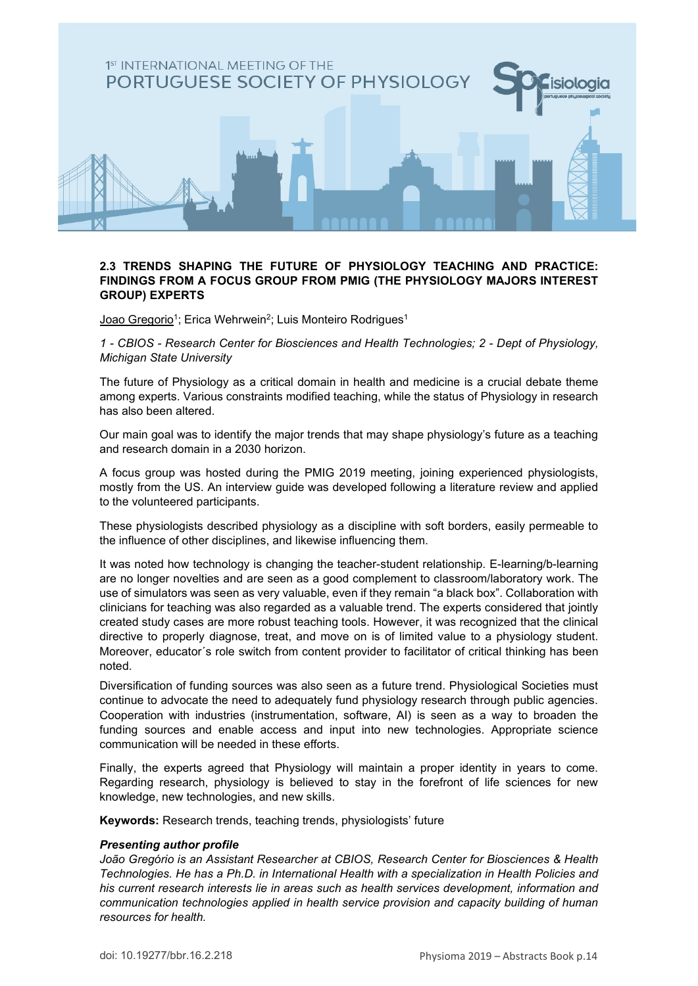

#### **2.3 TRENDS SHAPING THE FUTURE OF PHYSIOLOGY TEACHING AND PRACTICE: FINDINGS FROM A FOCUS GROUP FROM PMIG (THE PHYSIOLOGY MAJORS INTEREST GROUP) EXPERTS**

Joao Gregorio<sup>1</sup>; Erica Wehrwein<sup>2</sup>; Luis Monteiro Rodrigues<sup>1</sup>

*1 - CBIOS - Research Center for Biosciences and Health Technologies; 2 - Dept of Physiology, Michigan State University*

The future of Physiology as a critical domain in health and medicine is a crucial debate theme among experts. Various constraints modified teaching, while the status of Physiology in research has also been altered.

Our main goal was to identify the major trends that may shape physiology's future as a teaching and research domain in a 2030 horizon.

A focus group was hosted during the PMIG 2019 meeting, joining experienced physiologists, mostly from the US. An interview guide was developed following a literature review and applied to the volunteered participants.

These physiologists described physiology as a discipline with soft borders, easily permeable to the influence of other disciplines, and likewise influencing them.

It was noted how technology is changing the teacher-student relationship. E-learning/b-learning are no longer novelties and are seen as a good complement to classroom/laboratory work. The use of simulators was seen as very valuable, even if they remain "a black box". Collaboration with clinicians for teaching was also regarded as a valuable trend. The experts considered that jointly created study cases are more robust teaching tools. However, it was recognized that the clinical directive to properly diagnose, treat, and move on is of limited value to a physiology student. Moreover, educator´s role switch from content provider to facilitator of critical thinking has been noted.

Diversification of funding sources was also seen as a future trend. Physiological Societies must continue to advocate the need to adequately fund physiology research through public agencies. Cooperation with industries (instrumentation, software, AI) is seen as a way to broaden the funding sources and enable access and input into new technologies. Appropriate science communication will be needed in these efforts.

Finally, the experts agreed that Physiology will maintain a proper identity in years to come. Regarding research, physiology is believed to stay in the forefront of life sciences for new knowledge, new technologies, and new skills.

**Keywords:** Research trends, teaching trends, physiologists' future

#### *Presenting author profile*

*João Gregório is an Assistant Researcher at CBIOS, Research Center for Biosciences & Health Technologies. He has a Ph.D. in International Health with a specialization in Health Policies and his current research interests lie in areas such as health services development, information and communication technologies applied in health service provision and capacity building of human resources for health.*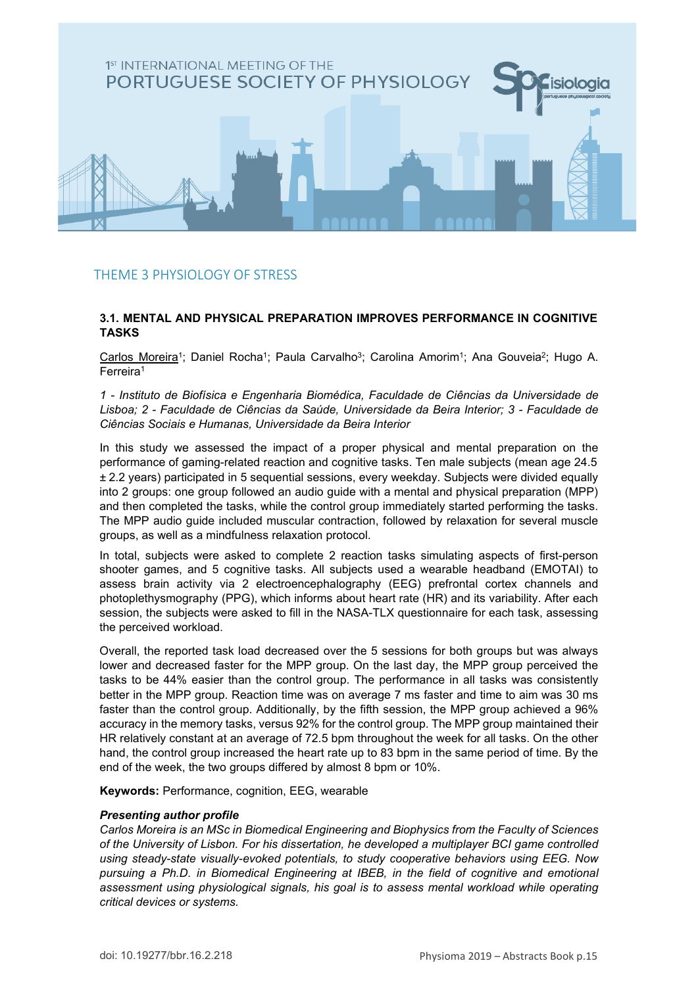

# THEME 3 PHYSIOLOGY OF STRESS

#### **3.1. MENTAL AND PHYSICAL PREPARATION IMPROVES PERFORMANCE IN COGNITIVE TASKS**

Carlos Moreira<sup>1</sup>; Daniel Rocha<sup>1</sup>; Paula Carvalho<sup>3</sup>; Carolina Amorim<sup>1</sup>; Ana Gouveia<sup>2</sup>; Hugo A. Ferreira1

*1 - Instituto de Biofísica e Engenharia Biomédica, Faculdade de Ciências da Universidade de Lisboa; 2 - Faculdade de Ciências da Saúde, Universidade da Beira Interior; 3 - Faculdade de Ciências Sociais e Humanas, Universidade da Beira Interior*

In this study we assessed the impact of a proper physical and mental preparation on the performance of gaming-related reaction and cognitive tasks. Ten male subjects (mean age 24.5 ± 2.2 years) participated in 5 sequential sessions, every weekday. Subjects were divided equally into 2 groups: one group followed an audio guide with a mental and physical preparation (MPP) and then completed the tasks, while the control group immediately started performing the tasks. The MPP audio guide included muscular contraction, followed by relaxation for several muscle groups, as well as a mindfulness relaxation protocol.

In total, subjects were asked to complete 2 reaction tasks simulating aspects of first-person shooter games, and 5 cognitive tasks. All subjects used a wearable headband (EMOTAI) to assess brain activity via 2 electroencephalography (EEG) prefrontal cortex channels and photoplethysmography (PPG), which informs about heart rate (HR) and its variability. After each session, the subjects were asked to fill in the NASA-TLX questionnaire for each task, assessing the perceived workload.

Overall, the reported task load decreased over the 5 sessions for both groups but was always lower and decreased faster for the MPP group. On the last day, the MPP group perceived the tasks to be 44% easier than the control group. The performance in all tasks was consistently better in the MPP group. Reaction time was on average 7 ms faster and time to aim was 30 ms faster than the control group. Additionally, by the fifth session, the MPP group achieved a 96% accuracy in the memory tasks, versus 92% for the control group. The MPP group maintained their HR relatively constant at an average of 72.5 bpm throughout the week for all tasks. On the other hand, the control group increased the heart rate up to 83 bpm in the same period of time. By the end of the week, the two groups differed by almost 8 bpm or 10%.

**Keywords:** Performance, cognition, EEG, wearable

#### *Presenting author profile*

*Carlos Moreira is an MSc in Biomedical Engineering and Biophysics from the Faculty of Sciences of the University of Lisbon. For his dissertation, he developed a multiplayer BCI game controlled using steady-state visually-evoked potentials, to study cooperative behaviors using EEG. Now pursuing a Ph.D. in Biomedical Engineering at IBEB, in the field of cognitive and emotional assessment using physiological signals, his goal is to assess mental workload while operating critical devices or systems.*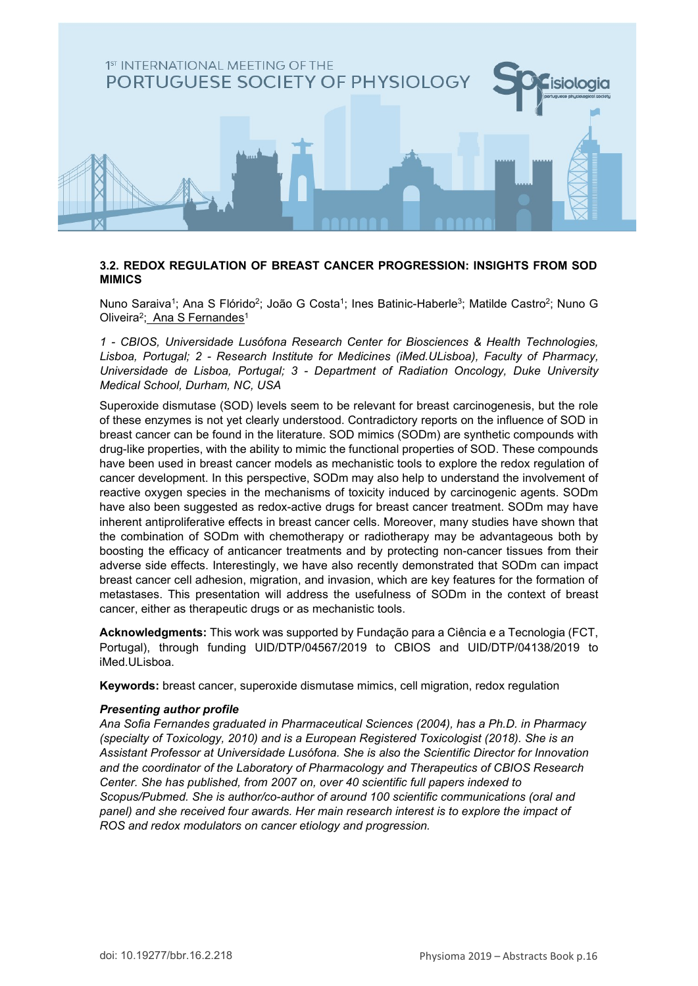

#### **3.2. REDOX REGULATION OF BREAST CANCER PROGRESSION: INSIGHTS FROM SOD MIMICS**

Nuno Saraiva<sup>1</sup>; Ana S Flórido<sup>2</sup>; João G Costa<sup>1</sup>; Ines Batinic-Haberle<sup>3</sup>; Matilde Castro<sup>2</sup>; Nuno G Oliveira<sup>2</sup>; Ana S Fernandes<sup>1</sup>

*1 - CBIOS, Universidade Lusófona Research Center for Biosciences & Health Technologies, Lisboa, Portugal; 2 - Research Institute for Medicines (iMed.ULisboa), Faculty of Pharmacy, Universidade de Lisboa, Portugal; 3 - Department of Radiation Oncology, Duke University Medical School, Durham, NC, USA*

Superoxide dismutase (SOD) levels seem to be relevant for breast carcinogenesis, but the role of these enzymes is not yet clearly understood. Contradictory reports on the influence of SOD in breast cancer can be found in the literature. SOD mimics (SODm) are synthetic compounds with drug-like properties, with the ability to mimic the functional properties of SOD. These compounds have been used in breast cancer models as mechanistic tools to explore the redox regulation of cancer development. In this perspective, SODm may also help to understand the involvement of reactive oxygen species in the mechanisms of toxicity induced by carcinogenic agents. SODm have also been suggested as redox-active drugs for breast cancer treatment. SODm may have inherent antiproliferative effects in breast cancer cells. Moreover, many studies have shown that the combination of SODm with chemotherapy or radiotherapy may be advantageous both by boosting the efficacy of anticancer treatments and by protecting non-cancer tissues from their adverse side effects. Interestingly, we have also recently demonstrated that SODm can impact breast cancer cell adhesion, migration, and invasion, which are key features for the formation of metastases. This presentation will address the usefulness of SODm in the context of breast cancer, either as therapeutic drugs or as mechanistic tools.

**Acknowledgments:** This work was supported by Fundação para a Ciência e a Tecnologia (FCT, Portugal), through funding UID/DTP/04567/2019 to CBIOS and UID/DTP/04138/2019 to iMed.ULisboa.

**Keywords:** breast cancer, superoxide dismutase mimics, cell migration, redox regulation

#### *Presenting author profile*

*Ana Sofia Fernandes graduated in Pharmaceutical Sciences (2004), has a Ph.D. in Pharmacy (specialty of Toxicology, 2010) and is a European Registered Toxicologist (2018). She is an Assistant Professor at Universidade Lusófona. She is also the Scientific Director for Innovation and the coordinator of the Laboratory of Pharmacology and Therapeutics of CBIOS Research Center. She has published, from 2007 on, over 40 scientific full papers indexed to Scopus/Pubmed. She is author/co-author of around 100 scientific communications (oral and panel) and she received four awards. Her main research interest is to explore the impact of ROS and redox modulators on cancer etiology and progression.*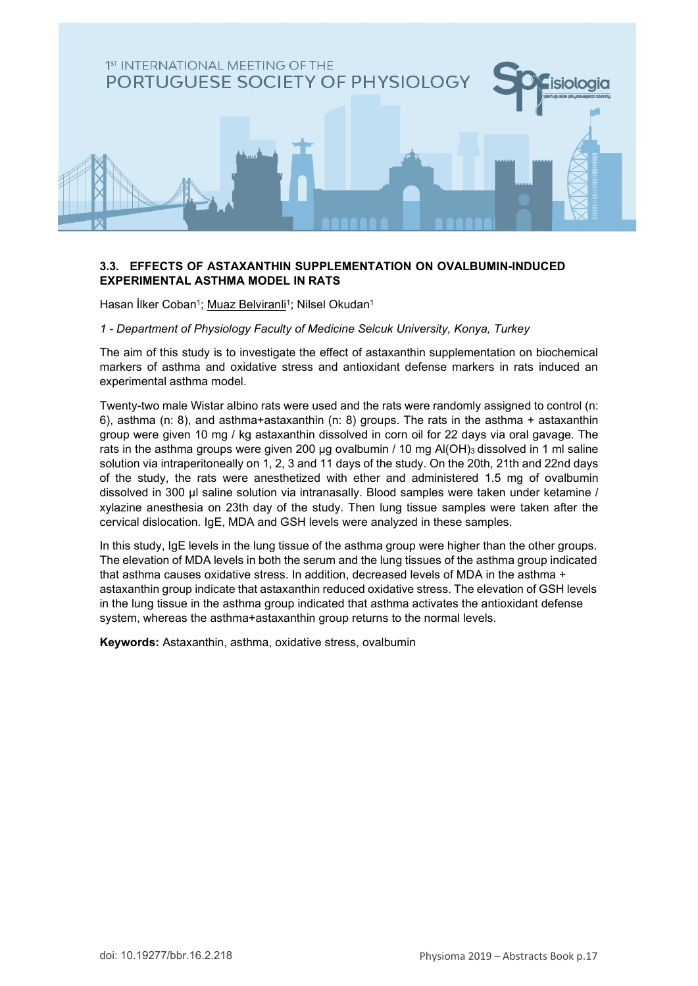

#### **3.3. EFFECTS OF ASTAXANTHIN SUPPLEMENTATION ON OVALBUMIN-INDUCED EXPERIMENTAL ASTHMA MODEL IN RATS**

Hasan İlker Coban<sup>1</sup>; Muaz Belviranli<sup>1</sup>; Nilsel Okudan<sup>1</sup>

*1 - Department of Physiology Faculty of Medicine Selcuk University, Konya, Turkey*

The aim of this study is to investigate the effect of astaxanthin supplementation on biochemical markers of asthma and oxidative stress and antioxidant defense markers in rats induced an experimental asthma model.

Twenty-two male Wistar albino rats were used and the rats were randomly assigned to control (n: 6), asthma (n: 8), and asthma+astaxanthin (n: 8) groups. The rats in the asthma + astaxanthin group were given 10 mg / kg astaxanthin dissolved in corn oil for 22 days via oral gavage. The rats in the asthma groups were given 200 μg ovalbumin / 10 mg Al(OH)3 dissolved in 1 ml saline solution via intraperitoneally on 1, 2, 3 and 11 days of the study. On the 20th, 21th and 22nd days of the study, the rats were anesthetized with ether and administered 1.5 mg of ovalbumin dissolved in 300 μl saline solution via intranasally. Blood samples were taken under ketamine / xylazine anesthesia on 23th day of the study. Then lung tissue samples were taken after the cervical dislocation. IgE, MDA and GSH levels were analyzed in these samples.

In this study, IgE levels in the lung tissue of the asthma group were higher than the other groups. The elevation of MDA levels in both the serum and the lung tissues of the asthma group indicated that asthma causes oxidative stress. In addition, decreased levels of MDA in the asthma + astaxanthin group indicate that astaxanthin reduced oxidative stress. The elevation of GSH levels in the lung tissue in the asthma group indicated that asthma activates the antioxidant defense system, whereas the asthma+astaxanthin group returns to the normal levels.

**Keywords:** Astaxanthin, asthma, oxidative stress, ovalbumin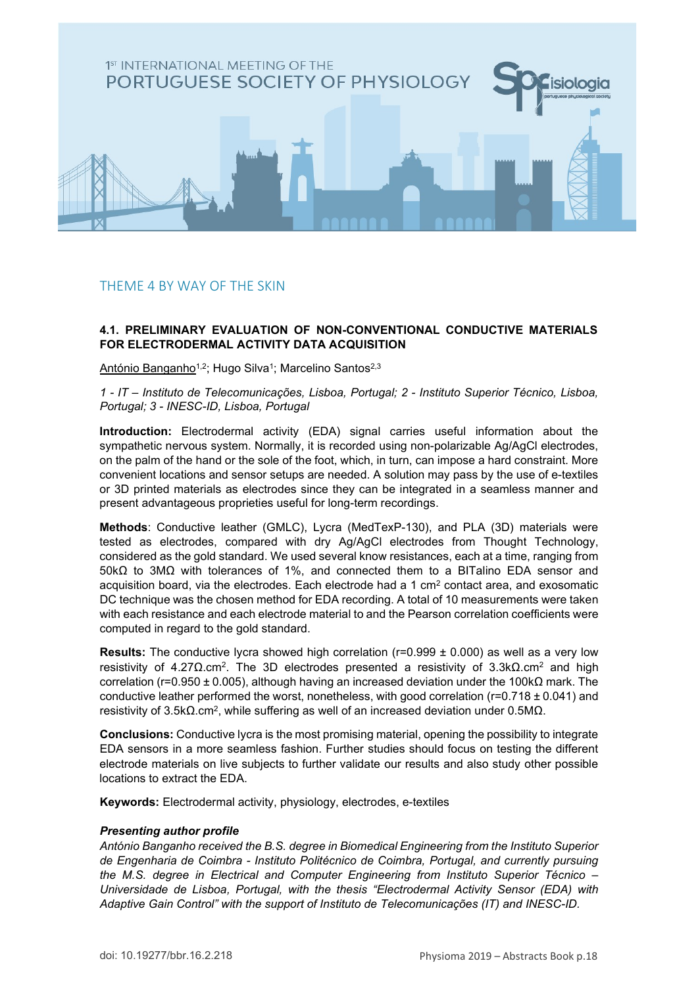

## THEME 4 BY WAY OF THE SKIN

#### **4.1. PRELIMINARY EVALUATION OF NON-CONVENTIONAL CONDUCTIVE MATERIALS FOR ELECTRODERMAL ACTIVITY DATA ACQUISITION**

António Banganho<sup>1,2</sup>; Hugo Silva<sup>1</sup>; Marcelino Santos<sup>2,3</sup>

*1 - IT – Instituto de Telecomunicações, Lisboa, Portugal; 2 - Instituto Superior Técnico, Lisboa, Portugal; 3 - INESC-ID, Lisboa, Portugal*

**Introduction:** Electrodermal activity (EDA) signal carries useful information about the sympathetic nervous system. Normally, it is recorded using non-polarizable Ag/AgCl electrodes, on the palm of the hand or the sole of the foot, which, in turn, can impose a hard constraint. More convenient locations and sensor setups are needed. A solution may pass by the use of e-textiles or 3D printed materials as electrodes since they can be integrated in a seamless manner and present advantageous proprieties useful for long-term recordings.

**Methods**: Conductive leather (GMLC), Lycra (MedTexP-130), and PLA (3D) materials were tested as electrodes, compared with dry Ag/AgCl electrodes from Thought Technology, considered as the gold standard. We used several know resistances, each at a time, ranging from 50kΩ to 3MΩ with tolerances of 1%, and connected them to a BITalino EDA sensor and acquisition board, via the electrodes. Each electrode had a 1 cm2 contact area, and exosomatic DC technique was the chosen method for EDA recording. A total of 10 measurements were taken with each resistance and each electrode material to and the Pearson correlation coefficients were computed in regard to the gold standard.

**Results:** The conductive lycra showed high correlation (r=0.999 ± 0.000) as well as a very low resistivity of 4.27Ω.cm<sup>2</sup>. The 3D electrodes presented a resistivity of  $3.3kΩ$ .cm<sup>2</sup> and high correlation (r=0.950 ± 0.005), although having an increased deviation under the 100kΩ mark. The conductive leather performed the worst, nonetheless, with good correlation ( $r=0.718 \pm 0.041$ ) and resistivity of 3.5kΩ.cm2, while suffering as well of an increased deviation under 0.5MΩ.

**Conclusions:** Conductive lycra is the most promising material, opening the possibility to integrate EDA sensors in a more seamless fashion. Further studies should focus on testing the different electrode materials on live subjects to further validate our results and also study other possible locations to extract the EDA.

**Keywords:** Electrodermal activity, physiology, electrodes, e-textiles

#### *Presenting author profile*

*António Banganho received the B.S. degree in Biomedical Engineering from the Instituto Superior de Engenharia de Coimbra - Instituto Politécnico de Coimbra, Portugal, and currently pursuing the M.S. degree in Electrical and Computer Engineering from Instituto Superior Técnico – Universidade de Lisboa, Portugal, with the thesis "Electrodermal Activity Sensor (EDA) with Adaptive Gain Control" with the support of Instituto de Telecomunicações (IT) and INESC-ID.*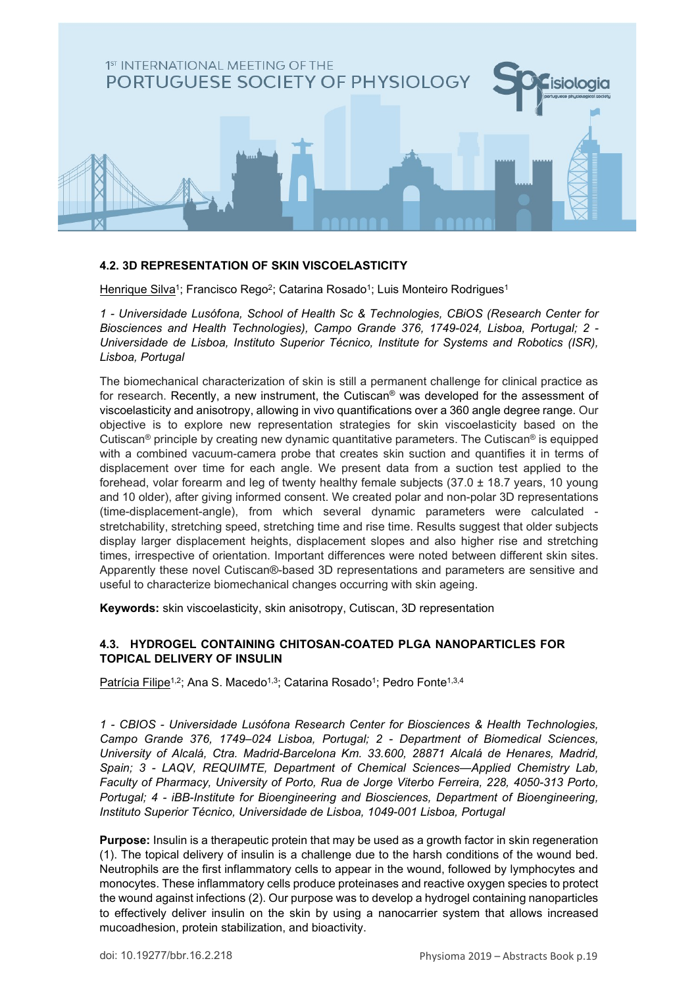

## **4.2. 3D REPRESENTATION OF SKIN VISCOELASTICITY**

Henrique Silva<sup>1</sup>; Francisco Rego<sup>2</sup>; Catarina Rosado<sup>1</sup>; Luis Monteiro Rodrigues<sup>1</sup>

*1 - Universidade Lusófona, School of Health Sc & Technologies, CBiOS (Research Center for Biosciences and Health Technologies), Campo Grande 376, 1749-024, Lisboa, Portugal; 2 - Universidade de Lisboa, Instituto Superior Técnico, Institute for Systems and Robotics (ISR), Lisboa, Portugal*

The biomechanical characterization of skin is still a permanent challenge for clinical practice as for research. Recently, a new instrument, the Cutiscan® was developed for the assessment of viscoelasticity and anisotropy, allowing in vivo quantifications over a 360 angle degree range. Our objective is to explore new representation strategies for skin viscoelasticity based on the Cutiscan<sup>®</sup> principle by creating new dynamic quantitative parameters. The Cutiscan<sup>®</sup> is equipped with a combined vacuum-camera probe that creates skin suction and quantifies it in terms of displacement over time for each angle. We present data from a suction test applied to the forehead, volar forearm and leg of twenty healthy female subjects  $(37.0 \pm 18.7 \,\text{years}, 10 \,\text{young})$ and 10 older), after giving informed consent. We created polar and non-polar 3D representations (time-displacement-angle), from which several dynamic parameters were calculated stretchability, stretching speed, stretching time and rise time. Results suggest that older subjects display larger displacement heights, displacement slopes and also higher rise and stretching times, irrespective of orientation. Important differences were noted between different skin sites. Apparently these novel Cutiscan®-based 3D representations and parameters are sensitive and useful to characterize biomechanical changes occurring with skin ageing.

**Keywords:** skin viscoelasticity, skin anisotropy, Cutiscan, 3D representation

## **4.3. HYDROGEL CONTAINING CHITOSAN-COATED PLGA NANOPARTICLES FOR TOPICAL DELIVERY OF INSULIN**

Patrícia Filipe<sup>1,2</sup>; Ana S. Macedo<sup>1,3</sup>; Catarina Rosado<sup>1</sup>; Pedro Fonte<sup>1,3,4</sup>

*1 - CBIOS - Universidade Lusófona Research Center for Biosciences & Health Technologies, Campo Grande 376, 1749–024 Lisboa, Portugal; 2 - Department of Biomedical Sciences, University of Alcalá, Ctra. Madrid-Barcelona Km. 33.600, 28871 Alcalá de Henares, Madrid, Spain; 3 - LAQV, REQUIMTE, Department of Chemical Sciences—Applied Chemistry Lab, Faculty of Pharmacy, University of Porto, Rua de Jorge Viterbo Ferreira, 228, 4050-313 Porto, Portugal; 4 - iBB-Institute for Bioengineering and Biosciences, Department of Bioengineering, Instituto Superior Técnico, Universidade de Lisboa, 1049-001 Lisboa, Portugal*

**Purpose:** Insulin is a therapeutic protein that may be used as a growth factor in skin regeneration (1). The topical delivery of insulin is a challenge due to the harsh conditions of the wound bed. Neutrophils are the first inflammatory cells to appear in the wound, followed by lymphocytes and monocytes. These inflammatory cells produce proteinases and reactive oxygen species to protect the wound against infections (2). Our purpose was to develop a hydrogel containing nanoparticles to effectively deliver insulin on the skin by using a nanocarrier system that allows increased mucoadhesion, protein stabilization, and bioactivity.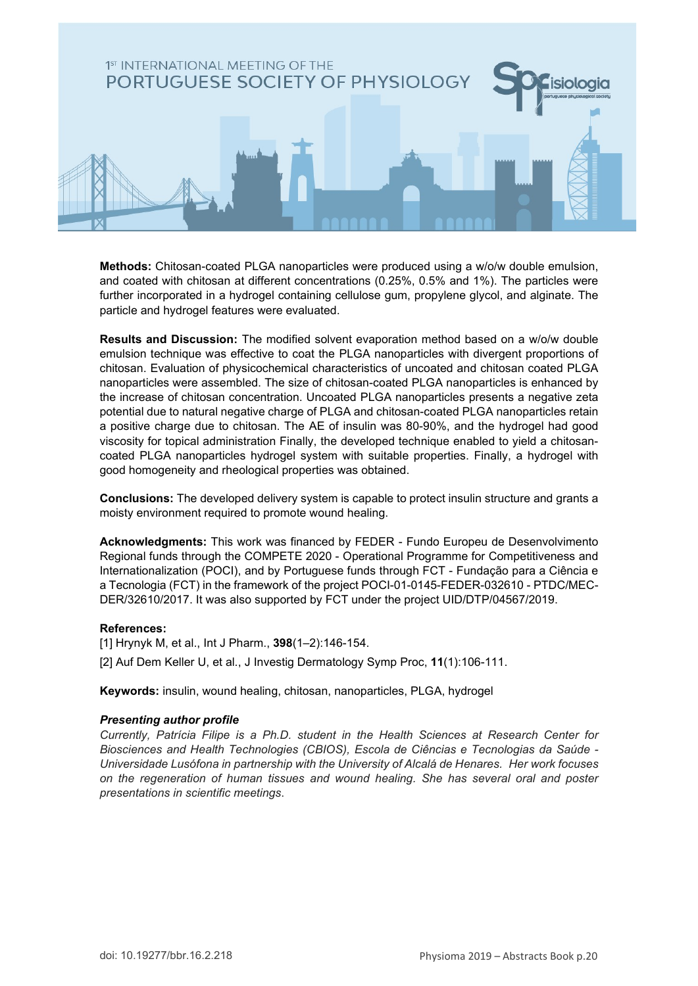

**Methods:** Chitosan-coated PLGA nanoparticles were produced using a w/o/w double emulsion, and coated with chitosan at different concentrations (0.25%, 0.5% and 1%). The particles were further incorporated in a hydrogel containing cellulose gum, propylene glycol, and alginate. The particle and hydrogel features were evaluated.

**Results and Discussion:** The modified solvent evaporation method based on a w/o/w double emulsion technique was effective to coat the PLGA nanoparticles with divergent proportions of chitosan. Evaluation of physicochemical characteristics of uncoated and chitosan coated PLGA nanoparticles were assembled. The size of chitosan-coated PLGA nanoparticles is enhanced by the increase of chitosan concentration. Uncoated PLGA nanoparticles presents a negative zeta potential due to natural negative charge of PLGA and chitosan-coated PLGA nanoparticles retain a positive charge due to chitosan. The AE of insulin was 80-90%, and the hydrogel had good viscosity for topical administration Finally, the developed technique enabled to yield a chitosancoated PLGA nanoparticles hydrogel system with suitable properties. Finally, a hydrogel with good homogeneity and rheological properties was obtained.

**Conclusions:** The developed delivery system is capable to protect insulin structure and grants a moisty environment required to promote wound healing.

**Acknowledgments:** This work was financed by FEDER - Fundo Europeu de Desenvolvimento Regional funds through the COMPETE 2020 - Operational Programme for Competitiveness and Internationalization (POCI), and by Portuguese funds through FCT - Fundação para a Ciência e a Tecnologia (FCT) in the framework of the project POCI-01-0145-FEDER-032610 - PTDC/MEC-DER/32610/2017. It was also supported by FCT under the project UID/DTP/04567/2019.

#### **References:**

[1] Hrynyk M, et al., Int J Pharm., **398**(1–2):146-154. [2] Auf Dem Keller U, et al., J Investig Dermatology Symp Proc, **11**(1):106-111.

**Keywords:** insulin, wound healing, chitosan, nanoparticles, PLGA, hydrogel

#### *Presenting author profile*

*Currently, Patrícia Filipe is a Ph.D. student in the Health Sciences at Research Center for Biosciences and Health Technologies (CBIOS), Escola de Ciências e Tecnologias da Saúde - Universidade Lusófona in partnership with the University of Alcalá de Henares. Her work focuses on the regeneration of human tissues and wound healing. She has several oral and poster presentations in scientific meetings*.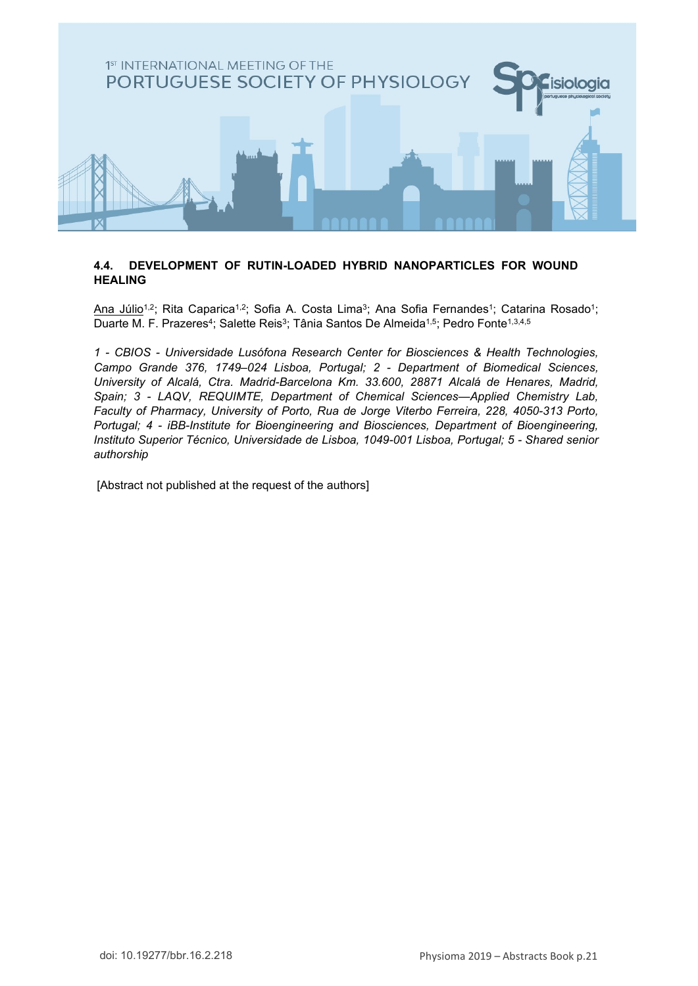

#### **4.4. DEVELOPMENT OF RUTIN-LOADED HYBRID NANOPARTICLES FOR WOUND HEALING**

Ana Júlio<sup>1,2</sup>; Rita Caparica<sup>1,2</sup>; Sofia A. Costa Lima<sup>3</sup>; Ana Sofia Fernandes<sup>1</sup>; Catarina Rosado<sup>1</sup>; Duarte M. F. Prazeres<sup>4</sup>; Salette Reis<sup>3</sup>; Tânia Santos De Almeida<sup>1,5</sup>; Pedro Fonte<sup>1,3,4,5</sup>

*1 - CBIOS - Universidade Lusófona Research Center for Biosciences & Health Technologies, Campo Grande 376, 1749–024 Lisboa, Portugal; 2 - Department of Biomedical Sciences, University of Alcalá, Ctra. Madrid-Barcelona Km. 33.600, 28871 Alcalá de Henares, Madrid, Spain; 3 - LAQV, REQUIMTE, Department of Chemical Sciences—Applied Chemistry Lab, Faculty of Pharmacy, University of Porto, Rua de Jorge Viterbo Ferreira, 228, 4050-313 Porto, Portugal; 4 - iBB-Institute for Bioengineering and Biosciences, Department of Bioengineering, Instituto Superior Técnico, Universidade de Lisboa, 1049-001 Lisboa, Portugal; 5 - Shared senior authorship*

[Abstract not published at the request of the authors]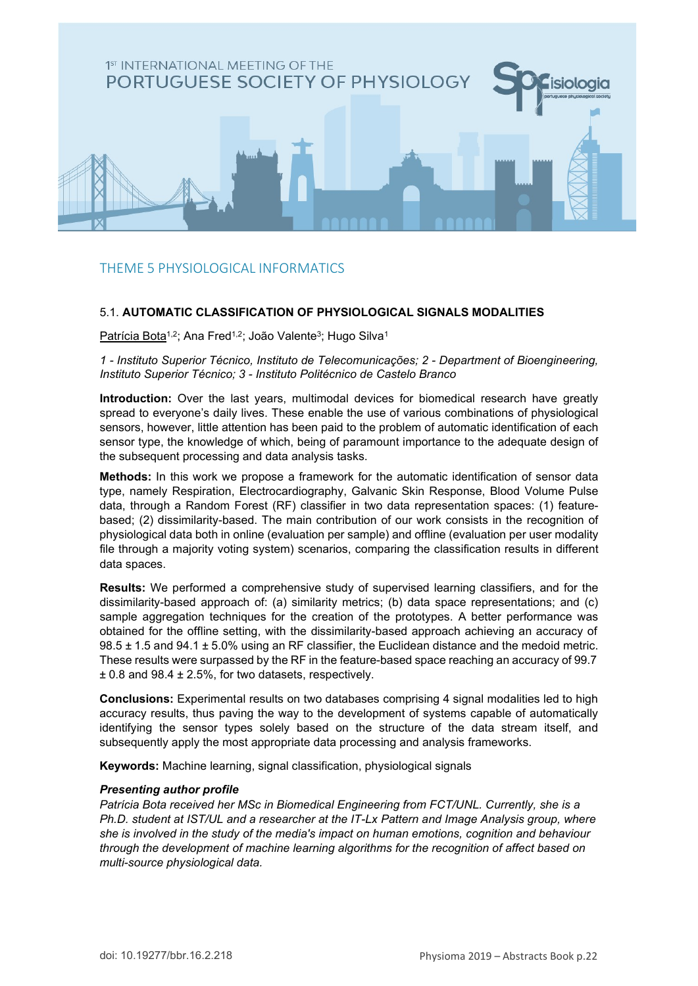

# <span id="page-21-0"></span>THEME 5 PHYSIOLOGICAL INFORMATICS

#### 5.1. **AUTOMATIC CLASSIFICATION OF PHYSIOLOGICAL SIGNALS MODALITIES**

Patrícia Bota<sup>1,2</sup>; Ana Fred<sup>1,2</sup>; João Valente<sup>3</sup>; Hugo Silva<sup>1</sup>

*1 - Instituto Superior Técnico, Instituto de Telecomunicações; 2 - Department of Bioengineering, Instituto Superior Técnico; 3 - Instituto Politécnico de Castelo Branco*

**Introduction:** Over the last years, multimodal devices for biomedical research have greatly spread to everyone's daily lives. These enable the use of various combinations of physiological sensors, however, little attention has been paid to the problem of automatic identification of each sensor type, the knowledge of which, being of paramount importance to the adequate design of the subsequent processing and data analysis tasks.

**Methods:** In this work we propose a framework for the automatic identification of sensor data type, namely Respiration, Electrocardiography, Galvanic Skin Response, Blood Volume Pulse data, through a Random Forest (RF) classifier in two data representation spaces: (1) featurebased; (2) dissimilarity-based. The main contribution of our work consists in the recognition of physiological data both in online (evaluation per sample) and offline (evaluation per user modality file through a majority voting system) scenarios, comparing the classification results in different data spaces.

**Results:** We performed a comprehensive study of supervised learning classifiers, and for the dissimilarity-based approach of: (a) similarity metrics; (b) data space representations; and (c) sample aggregation techniques for the creation of the prototypes. A better performance was obtained for the offline setting, with the dissimilarity-based approach achieving an accuracy of 98.5 ± 1.5 and 94.1 ± 5.0% using an RF classifier, the Euclidean distance and the medoid metric. These results were surpassed by the RF in the feature-based space reaching an accuracy of 99.7 ± 0.8 and 98.4 ± 2.5%, for two datasets, respectively.

**Conclusions:** Experimental results on two databases comprising 4 signal modalities led to high accuracy results, thus paving the way to the development of systems capable of automatically identifying the sensor types solely based on the structure of the data stream itself, and subsequently apply the most appropriate data processing and analysis frameworks.

**Keywords:** Machine learning, signal classification, physiological signals

#### *Presenting author profile*

*Patrícia Bota received her MSc in Biomedical Engineering from FCT/UNL. Currently, she is a Ph.D. student at IST/UL and a researcher at the IT-Lx Pattern and Image Analysis group, where she is involved in the study of the media's impact on human emotions, cognition and behaviour through the development of machine learning algorithms for the recognition of affect based on multi-source physiological data.*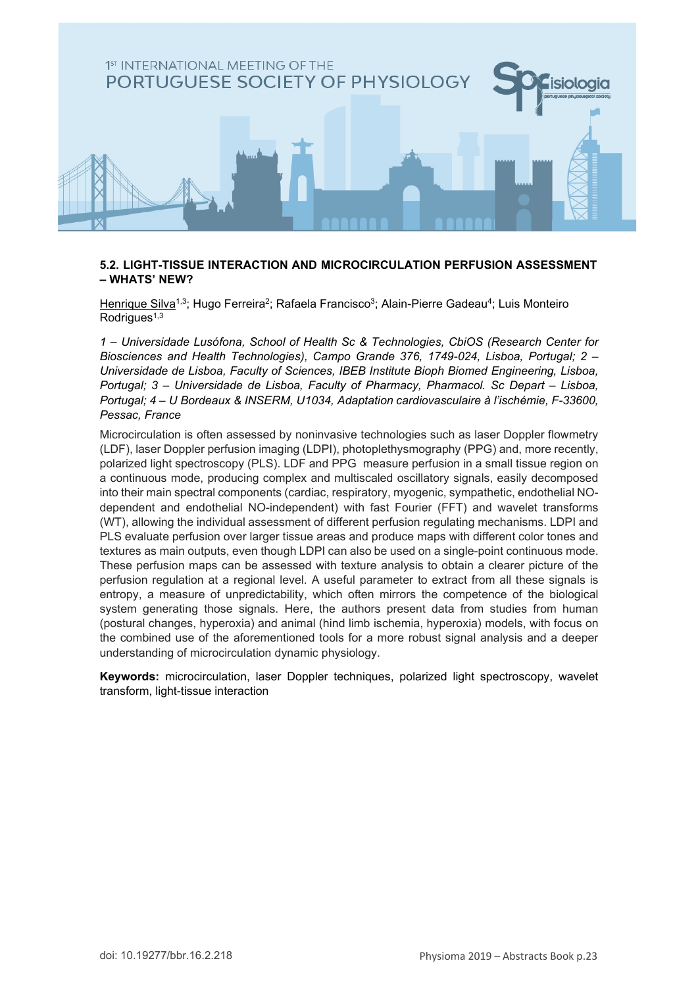

### **5.2. LIGHT-TISSUE INTERACTION AND MICROCIRCULATION PERFUSION ASSESSMENT – WHATS' NEW?**

Henrique Silva<sup>1,3</sup>; Hugo Ferreira<sup>2</sup>; Rafaela Francisco<sup>3</sup>; Alain-Pierre Gadeau<sup>4</sup>; Luis Monteiro  $Rodrigues<sup>1,3</sup>$ 

*1 – Universidade Lusófona, School of Health Sc & Technologies, CbiOS (Research Center for Biosciences and Health Technologies), Campo Grande 376, 1749-024, Lisboa, Portugal; 2 – Universidade de Lisboa, Faculty of Sciences, IBEB Institute Bioph Biomed Engineering, Lisboa, Portugal; 3 – Universidade de Lisboa, Faculty of Pharmacy, Pharmacol. Sc Depart – Lisboa, Portugal; 4 – U Bordeaux & INSERM, U1034, Adaptation cardiovasculaire à l'ischémie, F-33600, Pessac, France*

Microcirculation is often assessed by noninvasive technologies such as laser Doppler flowmetry (LDF), laser Doppler perfusion imaging (LDPI), photoplethysmography (PPG) and, more recently, polarized light spectroscopy (PLS). LDF and PPG measure perfusion in a small tissue region on a continuous mode, producing complex and multiscaled oscillatory signals, easily decomposed into their main spectral components (cardiac, respiratory, myogenic, sympathetic, endothelial NOdependent and endothelial NO-independent) with fast Fourier (FFT) and wavelet transforms (WT), allowing the individual assessment of different perfusion regulating mechanisms. LDPI and PLS evaluate perfusion over larger tissue areas and produce maps with different color tones and textures as main outputs, even though LDPI can also be used on a single-point continuous mode. These perfusion maps can be assessed with texture analysis to obtain a clearer picture of the perfusion regulation at a regional level. A useful parameter to extract from all these signals is entropy, a measure of unpredictability, which often mirrors the competence of the biological system generating those signals. Here, the authors present data from studies from human (postural changes, hyperoxia) and animal (hind limb ischemia, hyperoxia) models, with focus on the combined use of the aforementioned tools for a more robust signal analysis and a deeper understanding of microcirculation dynamic physiology.

**Keywords:** microcirculation, laser Doppler techniques, polarized light spectroscopy, wavelet transform, light-tissue interaction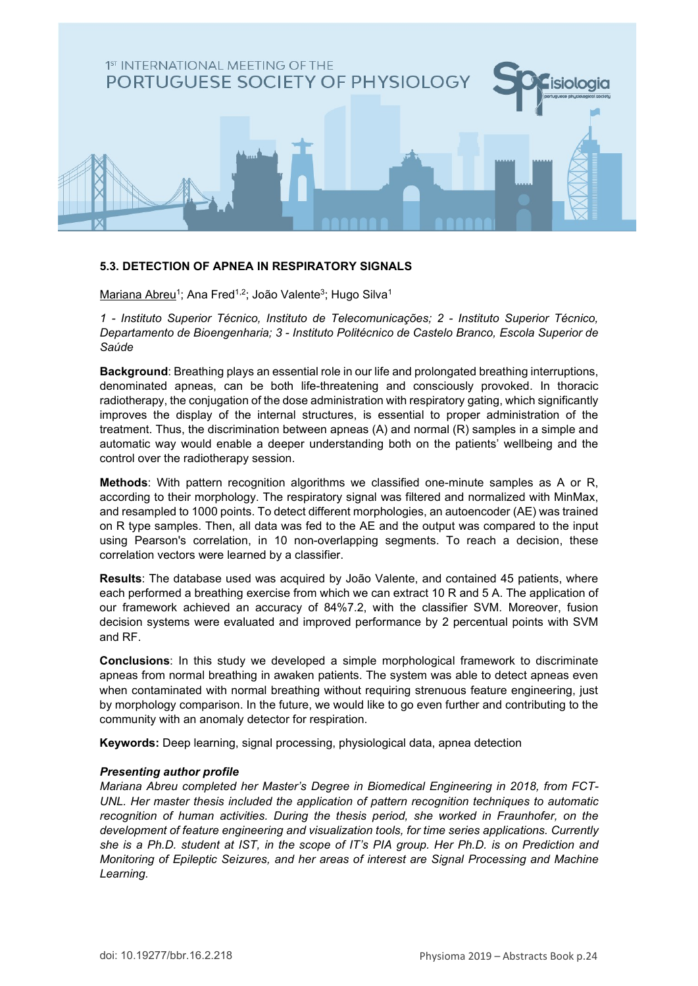

#### **5.3. DETECTION OF APNEA IN RESPIRATORY SIGNALS**

Mariana Abreu<sup>1</sup>; Ana Fred<sup>1,2</sup>; João Valente<sup>3</sup>; Hugo Silva<sup>1</sup>

*1 - Instituto Superior Técnico, Instituto de Telecomunicações; 2 - Instituto Superior Técnico, Departamento de Bioengenharia; 3 - Instituto Politécnico de Castelo Branco, Escola Superior de Saúde*

**Background**: Breathing plays an essential role in our life and prolongated breathing interruptions, denominated apneas, can be both life-threatening and consciously provoked. In thoracic radiotherapy, the conjugation of the dose administration with respiratory gating, which significantly improves the display of the internal structures, is essential to proper administration of the treatment. Thus, the discrimination between apneas (A) and normal (R) samples in a simple and automatic way would enable a deeper understanding both on the patients' wellbeing and the control over the radiotherapy session.

**Methods**: With pattern recognition algorithms we classified one-minute samples as A or R, according to their morphology. The respiratory signal was filtered and normalized with MinMax, and resampled to 1000 points. To detect different morphologies, an autoencoder (AE) was trained on R type samples. Then, all data was fed to the AE and the output was compared to the input using Pearson's correlation, in 10 non-overlapping segments. To reach a decision, these correlation vectors were learned by a classifier.

**Results**: The database used was acquired by João Valente, and contained 45 patients, where each performed a breathing exercise from which we can extract 10 R and 5 A. The application of our framework achieved an accuracy of 84%7.2, with the classifier SVM. Moreover, fusion decision systems were evaluated and improved performance by 2 percentual points with SVM and RF.

**Conclusions**: In this study we developed a simple morphological framework to discriminate apneas from normal breathing in awaken patients. The system was able to detect apneas even when contaminated with normal breathing without requiring strenuous feature engineering, just by morphology comparison. In the future, we would like to go even further and contributing to the community with an anomaly detector for respiration.

**Keywords:** Deep learning, signal processing, physiological data, apnea detection

#### *Presenting author profile*

*Mariana Abreu completed her Master's Degree in Biomedical Engineering in 2018, from FCT-UNL. Her master thesis included the application of pattern recognition techniques to automatic recognition of human activities. During the thesis period, she worked in Fraunhofer, on the development of feature engineering and visualization tools, for time series applications. Currently she is a Ph.D. student at IST, in the scope of IT's PIA group. Her Ph.D. is on Prediction and Monitoring of Epileptic Seizures, and her areas of interest are Signal Processing and Machine Learning.*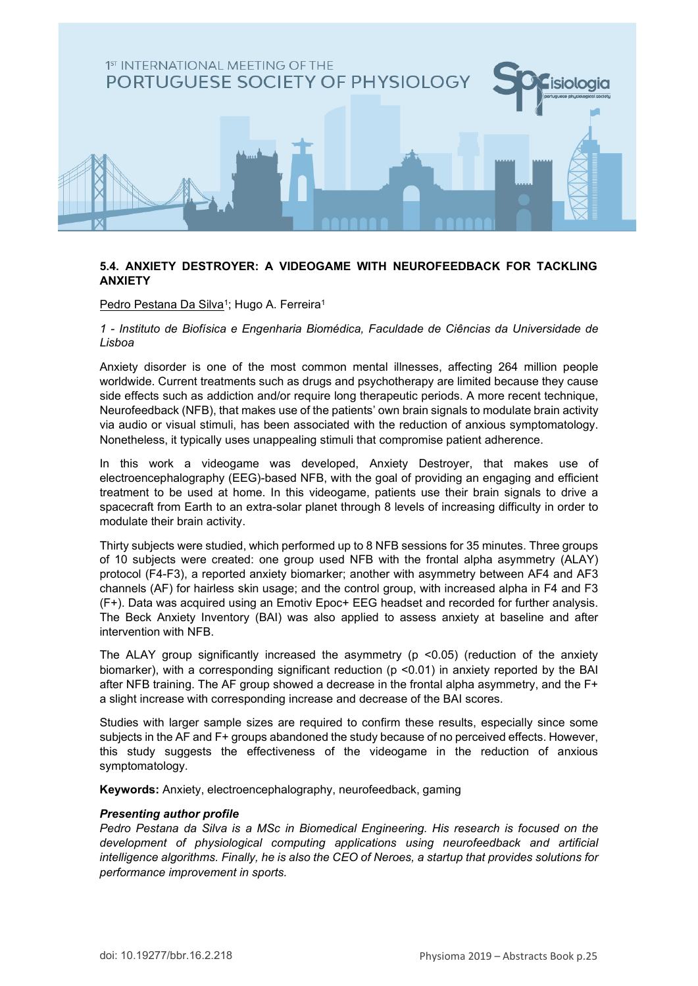

#### **5.4. ANXIETY DESTROYER: A VIDEOGAME WITH NEUROFEEDBACK FOR TACKLING ANXIETY**

#### Pedro Pestana Da Silva<sup>1</sup>; Hugo A. Ferreira<sup>1</sup>

*1 - Instituto de Biofísica e Engenharia Biomédica, Faculdade de Ciências da Universidade de Lisboa*

Anxiety disorder is one of the most common mental illnesses, affecting 264 million people worldwide. Current treatments such as drugs and psychotherapy are limited because they cause side effects such as addiction and/or require long therapeutic periods. A more recent technique, Neurofeedback (NFB), that makes use of the patients' own brain signals to modulate brain activity via audio or visual stimuli, has been associated with the reduction of anxious symptomatology. Nonetheless, it typically uses unappealing stimuli that compromise patient adherence.

In this work a videogame was developed, Anxiety Destroyer, that makes use of electroencephalography (EEG)-based NFB, with the goal of providing an engaging and efficient treatment to be used at home. In this videogame, patients use their brain signals to drive a spacecraft from Earth to an extra-solar planet through 8 levels of increasing difficulty in order to modulate their brain activity.

Thirty subjects were studied, which performed up to 8 NFB sessions for 35 minutes. Three groups of 10 subjects were created: one group used NFB with the frontal alpha asymmetry (ALAY) protocol (F4-F3), a reported anxiety biomarker; another with asymmetry between AF4 and AF3 channels (AF) for hairless skin usage; and the control group, with increased alpha in F4 and F3 (F+). Data was acquired using an Emotiv Epoc+ EEG headset and recorded for further analysis. The Beck Anxiety Inventory (BAI) was also applied to assess anxiety at baseline and after intervention with NFB.

The ALAY group significantly increased the asymmetry ( $p \le 0.05$ ) (reduction of the anxiety biomarker), with a corresponding significant reduction (p <0.01) in anxiety reported by the BAI after NFB training. The AF group showed a decrease in the frontal alpha asymmetry, and the F+ a slight increase with corresponding increase and decrease of the BAI scores.

Studies with larger sample sizes are required to confirm these results, especially since some subjects in the AF and F+ groups abandoned the study because of no perceived effects. However, this study suggests the effectiveness of the videogame in the reduction of anxious symptomatology.

**Keywords:** Anxiety, electroencephalography, neurofeedback, gaming

#### *Presenting author profile*

*Pedro Pestana da Silva is a MSc in Biomedical Engineering. His research is focused on the development of physiological computing applications using neurofeedback and artificial intelligence algorithms. Finally, he is also the CEO of Neroes, a startup that provides solutions for performance improvement in sports.*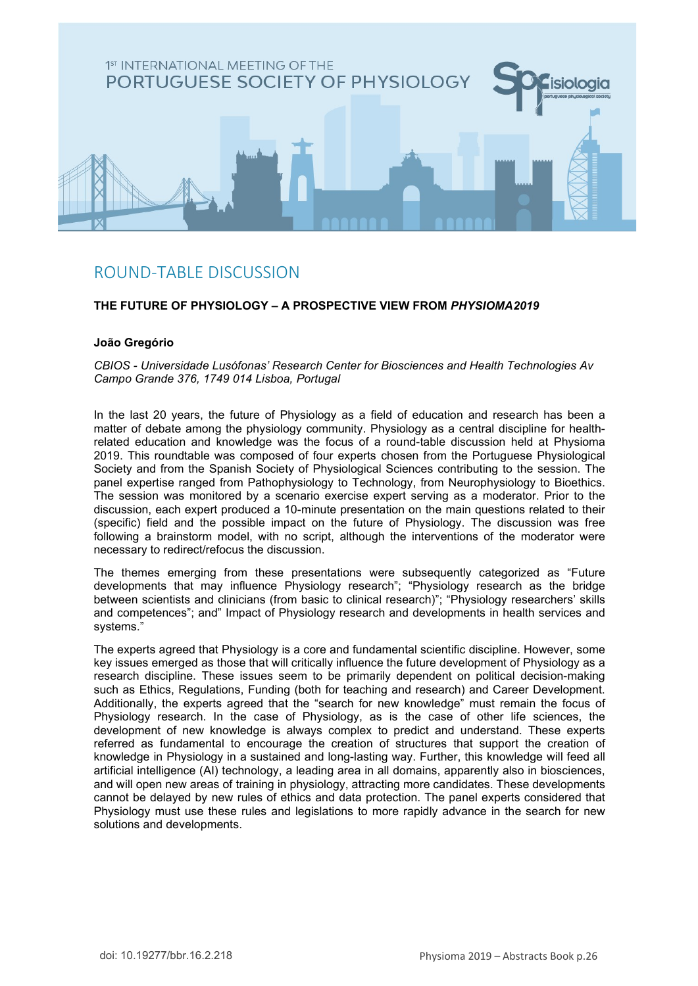

# <span id="page-25-0"></span>ROUND-TABLE DISCUSSION

## **THE FUTURE OF PHYSIOLOGY – A PROSPECTIVE VIEW FROM** *PHYSIOMA2019*

#### **João Gregório**

*CBIOS - Universidade Lusófonas' Research Center for Biosciences and Health Technologies Av Campo Grande 376, 1749 014 Lisboa, Portugal*

In the last 20 years, the future of Physiology as a field of education and research has been a matter of debate among the physiology community. Physiology as a central discipline for healthrelated education and knowledge was the focus of a round-table discussion held at Physioma 2019. This roundtable was composed of four experts chosen from the Portuguese Physiological Society and from the Spanish Society of Physiological Sciences contributing to the session. The panel expertise ranged from Pathophysiology to Technology, from Neurophysiology to Bioethics. The session was monitored by a scenario exercise expert serving as a moderator. Prior to the discussion, each expert produced a 10-minute presentation on the main questions related to their (specific) field and the possible impact on the future of Physiology. The discussion was free following a brainstorm model, with no script, although the interventions of the moderator were necessary to redirect/refocus the discussion.

The themes emerging from these presentations were subsequently categorized as "Future developments that may influence Physiology research"; "Physiology research as the bridge between scientists and clinicians (from basic to clinical research)"; "Physiology researchers' skills and competences"; and" Impact of Physiology research and developments in health services and systems."

The experts agreed that Physiology is a core and fundamental scientific discipline. However, some key issues emerged as those that will critically influence the future development of Physiology as a research discipline. These issues seem to be primarily dependent on political decision-making such as Ethics, Regulations, Funding (both for teaching and research) and Career Development. Additionally, the experts agreed that the "search for new knowledge" must remain the focus of Physiology research. In the case of Physiology, as is the case of other life sciences, the development of new knowledge is always complex to predict and understand. These experts referred as fundamental to encourage the creation of structures that support the creation of knowledge in Physiology in a sustained and long-lasting way. Further, this knowledge will feed all artificial intelligence (AI) technology, a leading area in all domains, apparently also in biosciences, and will open new areas of training in physiology, attracting more candidates. These developments cannot be delayed by new rules of ethics and data protection. The panel experts considered that Physiology must use these rules and legislations to more rapidly advance in the search for new solutions and developments.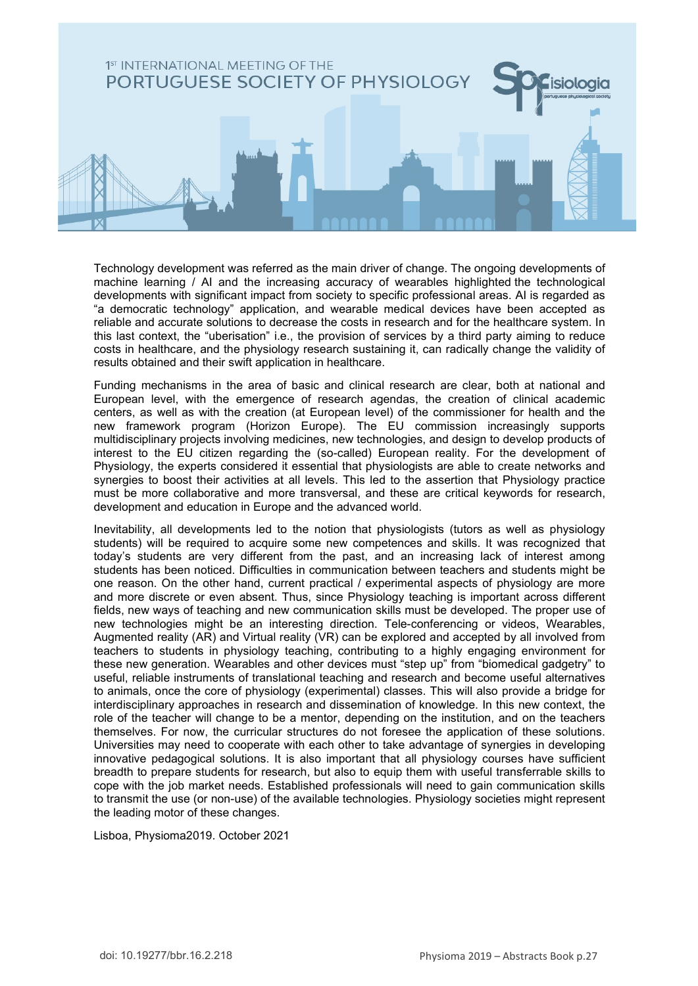

Technology development was referred as the main driver of change. The ongoing developments of machine learning / AI and the increasing accuracy of wearables highlighted the technological developments with significant impact from society to specific professional areas. AI is regarded as "a democratic technology" application, and wearable medical devices have been accepted as reliable and accurate solutions to decrease the costs in research and for the healthcare system. In this last context, the "uberisation" i.e., the provision of services by a third party aiming to reduce costs in healthcare, and the physiology research sustaining it, can radically change the validity of results obtained and their swift application in healthcare.

Funding mechanisms in the area of basic and clinical research are clear, both at national and European level, with the emergence of research agendas, the creation of clinical academic centers, as well as with the creation (at European level) of the commissioner for health and the new framework program (Horizon Europe). The EU commission increasingly supports multidisciplinary projects involving medicines, new technologies, and design to develop products of interest to the EU citizen regarding the (so-called) European reality. For the development of Physiology, the experts considered it essential that physiologists are able to create networks and synergies to boost their activities at all levels. This led to the assertion that Physiology practice must be more collaborative and more transversal, and these are critical keywords for research, development and education in Europe and the advanced world.

Inevitability, all developments led to the notion that physiologists (tutors as well as physiology students) will be required to acquire some new competences and skills. It was recognized that today's students are very different from the past, and an increasing lack of interest among students has been noticed. Difficulties in communication between teachers and students might be one reason. On the other hand, current practical / experimental aspects of physiology are more and more discrete or even absent. Thus, since Physiology teaching is important across different fields, new ways of teaching and new communication skills must be developed. The proper use of new technologies might be an interesting direction. Tele-conferencing or videos, Wearables, Augmented reality (AR) and Virtual reality (VR) can be explored and accepted by all involved from teachers to students in physiology teaching, contributing to a highly engaging environment for these new generation. Wearables and other devices must "step up" from "biomedical gadgetry" to useful, reliable instruments of translational teaching and research and become useful alternatives to animals, once the core of physiology (experimental) classes. This will also provide a bridge for interdisciplinary approaches in research and dissemination of knowledge. In this new context, the role of the teacher will change to be a mentor, depending on the institution, and on the teachers themselves. For now, the curricular structures do not foresee the application of these solutions. Universities may need to cooperate with each other to take advantage of synergies in developing innovative pedagogical solutions. It is also important that all physiology courses have sufficient breadth to prepare students for research, but also to equip them with useful transferrable skills to cope with the job market needs. Established professionals will need to gain communication skills to transmit the use (or non-use) of the available technologies. Physiology societies might represent the leading motor of these changes.

Lisboa, Physioma2019. October 2021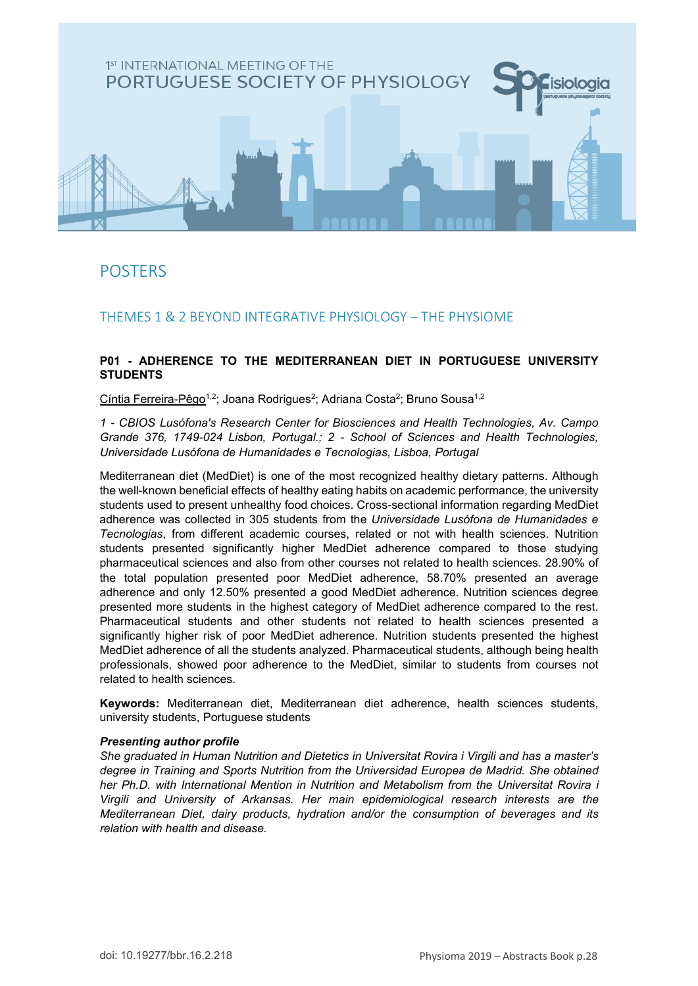

# POSTERS

# <span id="page-27-0"></span>THEMES 1 & 2 BEYOND INTEGRATIVE PHYSIOLOGY – THE PHYSIOME

### **P01 - ADHERENCE TO THE MEDITERRANEAN DIET IN PORTUGUESE UNIVERSITY STUDENTS**

Cíntia Ferreira-Pêgo<sup>1,2</sup>; Joana Rodrigues<sup>2</sup>; Adriana Costa<sup>2</sup>; Bruno Sousa<sup>1,2</sup>

*1 - CBIOS Lusófona's Research Center for Biosciences and Health Technologies, Av. Campo Grande 376, 1749-024 Lisbon, Portugal.; 2 - School of Sciences and Health Technologies, Universidade Lusófona de Humanidades e Tecnologias, Lisboa, Portugal*

Mediterranean diet (MedDiet) is one of the most recognized healthy dietary patterns. Although the well-known beneficial effects of healthy eating habits on academic performance, the university students used to present unhealthy food choices. Cross-sectional information regarding MedDiet adherence was collected in 305 students from the *Universidade Lusófona de Humanidades e Tecnologias*, from different academic courses, related or not with health sciences. Nutrition students presented significantly higher MedDiet adherence compared to those studying pharmaceutical sciences and also from other courses not related to health sciences. 28.90% of the total population presented poor MedDiet adherence, 58.70% presented an average adherence and only 12.50% presented a good MedDiet adherence. Nutrition sciences degree presented more students in the highest category of MedDiet adherence compared to the rest. Pharmaceutical students and other students not related to health sciences presented a significantly higher risk of poor MedDiet adherence. Nutrition students presented the highest MedDiet adherence of all the students analyzed. Pharmaceutical students, although being health professionals, showed poor adherence to the MedDiet, similar to students from courses not related to health sciences.

**Keywords:** Mediterranean diet, Mediterranean diet adherence, health sciences students, university students, Portuguese students

#### *Presenting author profile*

*She graduated in Human Nutrition and Dietetics in Universitat Rovira i Virgili and has a master's degree in Training and Sports Nutrition from the Universidad Europea de Madrid. She obtained her Ph.D. with International Mention in Nutrition and Metabolism from the Universitat Rovira i Virgili and University of Arkansas. Her main epidemiological research interests are the Mediterranean Diet, dairy products, hydration and/or the consumption of beverages and its relation with health and disease.*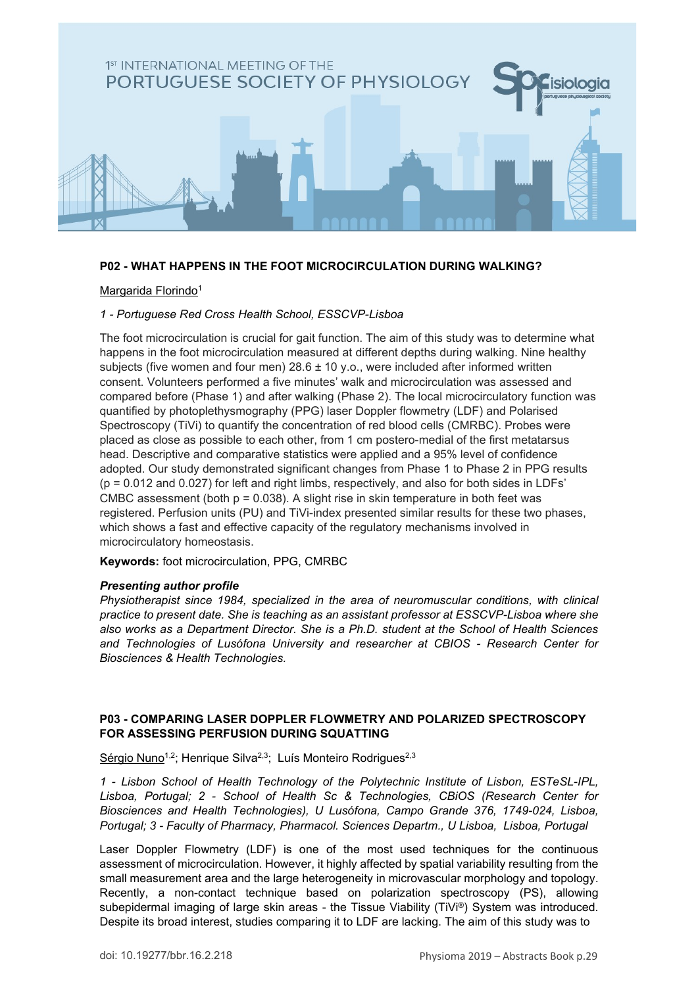

#### **P02 - WHAT HAPPENS IN THE FOOT MICROCIRCULATION DURING WALKING?**

#### Margarida Florindo<sup>1</sup>

#### *1 - Portuguese Red Cross Health School, ESSCVP-Lisboa*

The foot microcirculation is crucial for gait function. The aim of this study was to determine what happens in the foot microcirculation measured at different depths during walking. Nine healthy subjects (five women and four men)  $28.6 \pm 10$  y.o., were included after informed written consent. Volunteers performed a five minutes' walk and microcirculation was assessed and compared before (Phase 1) and after walking (Phase 2). The local microcirculatory function was quantified by photoplethysmography (PPG) laser Doppler flowmetry (LDF) and Polarised Spectroscopy (TiVi) to quantify the concentration of red blood cells (CMRBC). Probes were placed as close as possible to each other, from 1 cm postero-medial of the first metatarsus head. Descriptive and comparative statistics were applied and a 95% level of confidence adopted. Our study demonstrated significant changes from Phase 1 to Phase 2 in PPG results (p = 0.012 and 0.027) for left and right limbs, respectively, and also for both sides in LDFs' CMBC assessment (both  $p = 0.038$ ). A slight rise in skin temperature in both feet was registered. Perfusion units (PU) and TiVi-index presented similar results for these two phases, which shows a fast and effective capacity of the regulatory mechanisms involved in microcirculatory homeostasis.

**Keywords:** foot microcirculation, PPG, CMRBC

#### *Presenting author profile*

*Physiotherapist since 1984, specialized in the area of neuromuscular conditions, with clinical practice to present date. She is teaching as an assistant professor at ESSCVP-Lisboa where she also works as a Department Director. She is a Ph.D. student at the School of Health Sciences and Technologies of Lusófona University and researcher at CBIOS - Research Center for Biosciences & Health Technologies.*

#### **P03 - COMPARING LASER DOPPLER FLOWMETRY AND POLARIZED SPECTROSCOPY FOR ASSESSING PERFUSION DURING SQUATTING**

Sérgio Nuno<sup>1,2</sup>; Henrique Silva<sup>2,3</sup>; Luís Monteiro Rodrigues<sup>2,3</sup>

*1 - Lisbon School of Health Technology of the Polytechnic Institute of Lisbon, ESTeSL-IPL, Lisboa, Portugal; 2 - School of Health Sc & Technologies, CBiOS (Research Center for Biosciences and Health Technologies), U Lusófona, Campo Grande 376, 1749-024, Lisboa, Portugal; 3 - Faculty of Pharmacy, Pharmacol. Sciences Departm., U Lisboa, Lisboa, Portugal*

Laser Doppler Flowmetry (LDF) is one of the most used techniques for the continuous assessment of microcirculation. However, it highly affected by spatial variability resulting from the small measurement area and the large heterogeneity in microvascular morphology and topology. Recently, a non-contact technique based on polarization spectroscopy (PS), allowing subepidermal imaging of large skin areas - the Tissue Viability (TiVi®) System was introduced. Despite its broad interest, studies comparing it to LDF are lacking. The aim of this study was to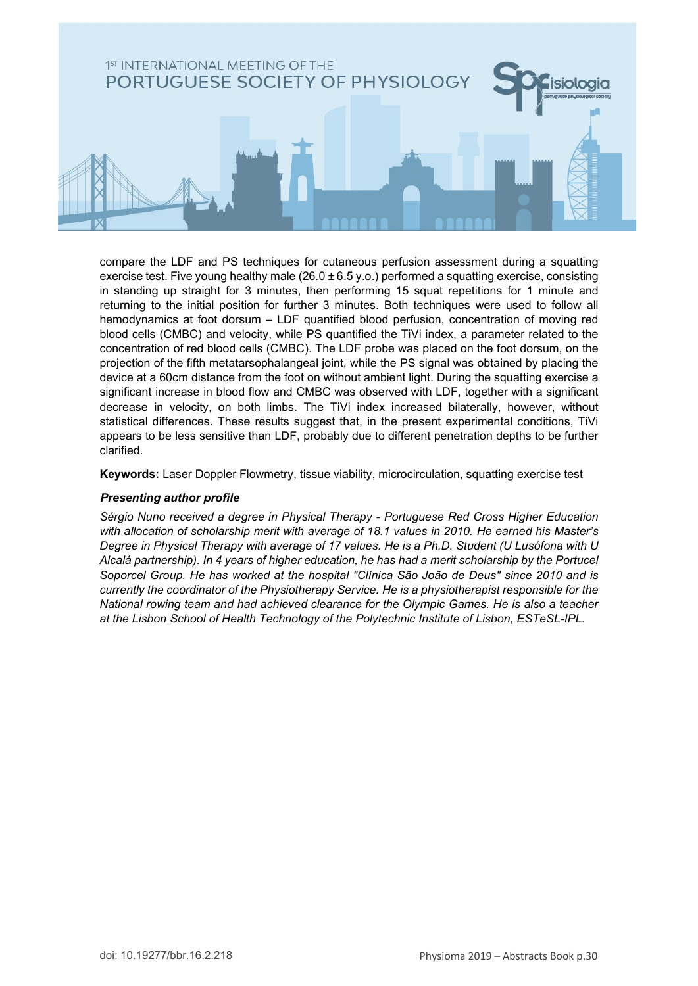

compare the LDF and PS techniques for cutaneous perfusion assessment during a squatting exercise test. Five young healthy male  $(26.0 \pm 6.5 \text{ y.o.})$  performed a squatting exercise, consisting in standing up straight for 3 minutes, then performing 15 squat repetitions for 1 minute and returning to the initial position for further 3 minutes. Both techniques were used to follow all hemodynamics at foot dorsum – LDF quantified blood perfusion, concentration of moving red blood cells (CMBC) and velocity, while PS quantified the TiVi index, a parameter related to the concentration of red blood cells (CMBC). The LDF probe was placed on the foot dorsum, on the projection of the fifth metatarsophalangeal joint, while the PS signal was obtained by placing the device at a 60cm distance from the foot on without ambient light. During the squatting exercise a significant increase in blood flow and CMBC was observed with LDF, together with a significant decrease in velocity, on both limbs. The TiVi index increased bilaterally, however, without statistical differences. These results suggest that, in the present experimental conditions, TiVi appears to be less sensitive than LDF, probably due to different penetration depths to be further clarified.

**Keywords:** Laser Doppler Flowmetry, tissue viability, microcirculation, squatting exercise test

#### *Presenting author profile*

*Sérgio Nuno received a degree in Physical Therapy - Portuguese Red Cross Higher Education with allocation of scholarship merit with average of 18.1 values in 2010. He earned his Master's Degree in Physical Therapy with average of 17 values. He is a Ph.D. Student (U Lusófona with U Alcalá partnership). In 4 years of higher education, he has had a merit scholarship by the Portucel Soporcel Group. He has worked at the hospital "Clínica São João de Deus" since 2010 and is currently the coordinator of the Physiotherapy Service. He is a physiotherapist responsible for the National rowing team and had achieved clearance for the Olympic Games. He is also a teacher at the Lisbon School of Health Technology of the Polytechnic Institute of Lisbon, ESTeSL-IPL.*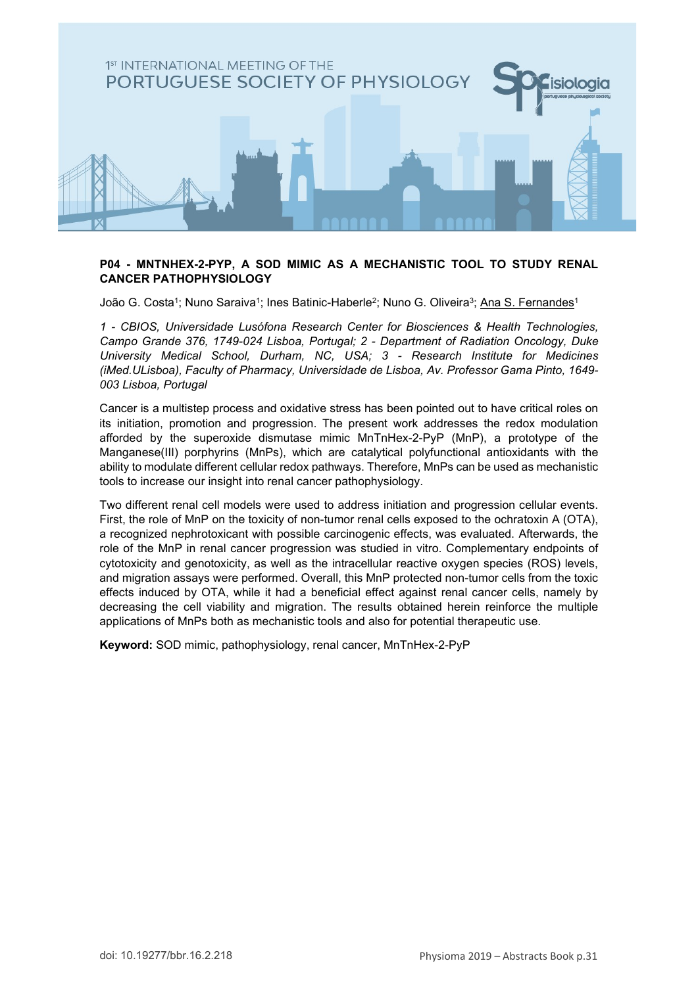

#### **P04 - MNTNHEX-2-PYP, A SOD MIMIC AS A MECHANISTIC TOOL TO STUDY RENAL CANCER PATHOPHYSIOLOGY**

João G. Costa<sup>1</sup>; Nuno Saraiva<sup>1</sup>; Ines Batinic-Haberle<sup>2</sup>; Nuno G. Oliveira<sup>3</sup>; Ana S. Fernandes<sup>1</sup>

*1 - CBIOS, Universidade Lusófona Research Center for Biosciences & Health Technologies, Campo Grande 376, 1749-024 Lisboa, Portugal; 2 - Department of Radiation Oncology, Duke University Medical School, Durham, NC, USA; 3 - Research Institute for Medicines (iMed.ULisboa), Faculty of Pharmacy, Universidade de Lisboa, Av. Professor Gama Pinto, 1649- 003 Lisboa, Portugal*

Cancer is a multistep process and oxidative stress has been pointed out to have critical roles on its initiation, promotion and progression. The present work addresses the redox modulation afforded by the superoxide dismutase mimic MnTnHex-2-PyP (MnP), a prototype of the Manganese(III) porphyrins (MnPs), which are catalytical polyfunctional antioxidants with the ability to modulate different cellular redox pathways. Therefore, MnPs can be used as mechanistic tools to increase our insight into renal cancer pathophysiology.

Two different renal cell models were used to address initiation and progression cellular events. First, the role of MnP on the toxicity of non-tumor renal cells exposed to the ochratoxin A (OTA), a recognized nephrotoxicant with possible carcinogenic effects, was evaluated. Afterwards, the role of the MnP in renal cancer progression was studied in vitro. Complementary endpoints of cytotoxicity and genotoxicity, as well as the intracellular reactive oxygen species (ROS) levels, and migration assays were performed. Overall, this MnP protected non-tumor cells from the toxic effects induced by OTA, while it had a beneficial effect against renal cancer cells, namely by decreasing the cell viability and migration. The results obtained herein reinforce the multiple applications of MnPs both as mechanistic tools and also for potential therapeutic use.

**Keyword:** SOD mimic, pathophysiology, renal cancer, MnTnHex-2-PyP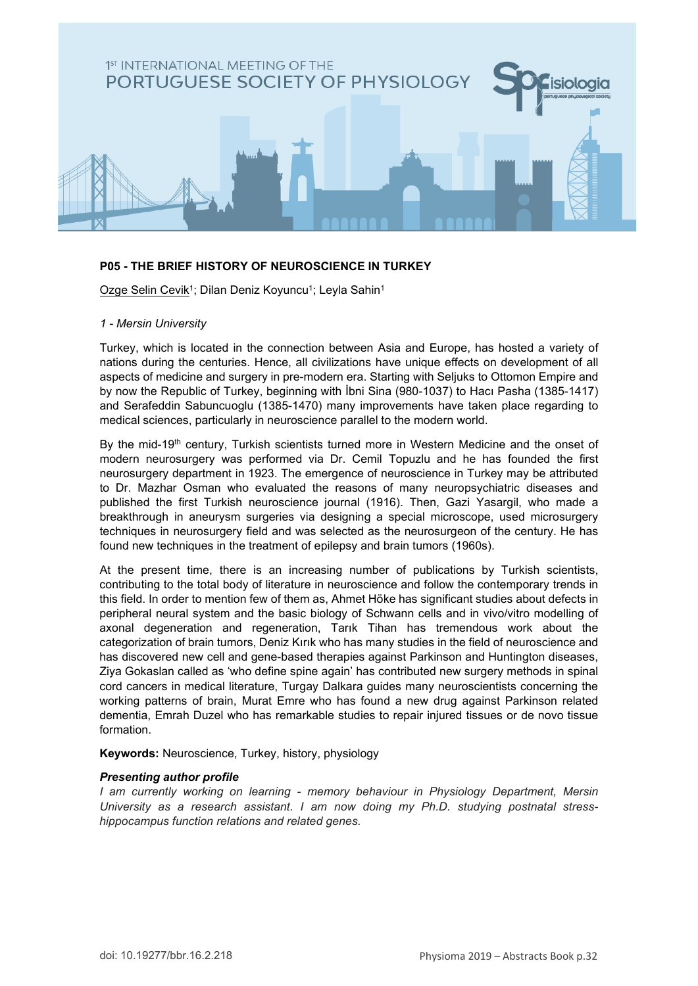

## **P05 - THE BRIEF HISTORY OF NEUROSCIENCE IN TURKEY**

Ozge Selin Cevik<sup>1</sup>; Dilan Deniz Koyuncu<sup>1</sup>; Leyla Sahin<sup>1</sup>

#### *1 - Mersin University*

Turkey, which is located in the connection between Asia and Europe, has hosted a variety of nations during the centuries. Hence, all civilizations have unique effects on development of all aspects of medicine and surgery in pre-modern era. Starting with Seljuks to Ottomon Empire and by now the Republic of Turkey, beginning with İbni Sina (980-1037) to Hacı Pasha (1385-1417) and Serafeddin Sabuncuoglu (1385-1470) many improvements have taken place regarding to medical sciences, particularly in neuroscience parallel to the modern world.

By the mid-19<sup>th</sup> century, Turkish scientists turned more in Western Medicine and the onset of modern neurosurgery was performed via Dr. Cemil Topuzlu and he has founded the first neurosurgery department in 1923. The emergence of neuroscience in Turkey may be attributed to Dr. Mazhar Osman who evaluated the reasons of many neuropsychiatric diseases and published the first Turkish neuroscience journal (1916). Then, Gazi Yasargil, who made a breakthrough in aneurysm surgeries via designing a special microscope, used microsurgery techniques in neurosurgery field and was selected as the neurosurgeon of the century. He has found new techniques in the treatment of epilepsy and brain tumors (1960s).

At the present time, there is an increasing number of publications by Turkish scientists, contributing to the total body of literature in neuroscience and follow the contemporary trends in this field. In order to mention few of them as, Ahmet Höke has significant studies about defects in peripheral neural system and the basic biology of Schwann cells and in vivo/vitro modelling of axonal degeneration and regeneration, Tarık Tihan has tremendous work about the categorization of brain tumors, Deniz Kırık who has many studies in the field of neuroscience and has discovered new cell and gene-based therapies against Parkinson and Huntington diseases, Ziya Gokaslan called as 'who define spine again' has contributed new surgery methods in spinal cord cancers in medical literature, Turgay Dalkara guides many neuroscientists concerning the working patterns of brain, Murat Emre who has found a new drug against Parkinson related dementia, Emrah Duzel who has remarkable studies to repair injured tissues or de novo tissue formation.

**Keywords:** Neuroscience, Turkey, history, physiology

#### *Presenting author profile*

*I am currently working on learning - memory behaviour in Physiology Department, Mersin University as a research assistant. I am now doing my Ph.D. studying postnatal stresshippocampus function relations and related genes.*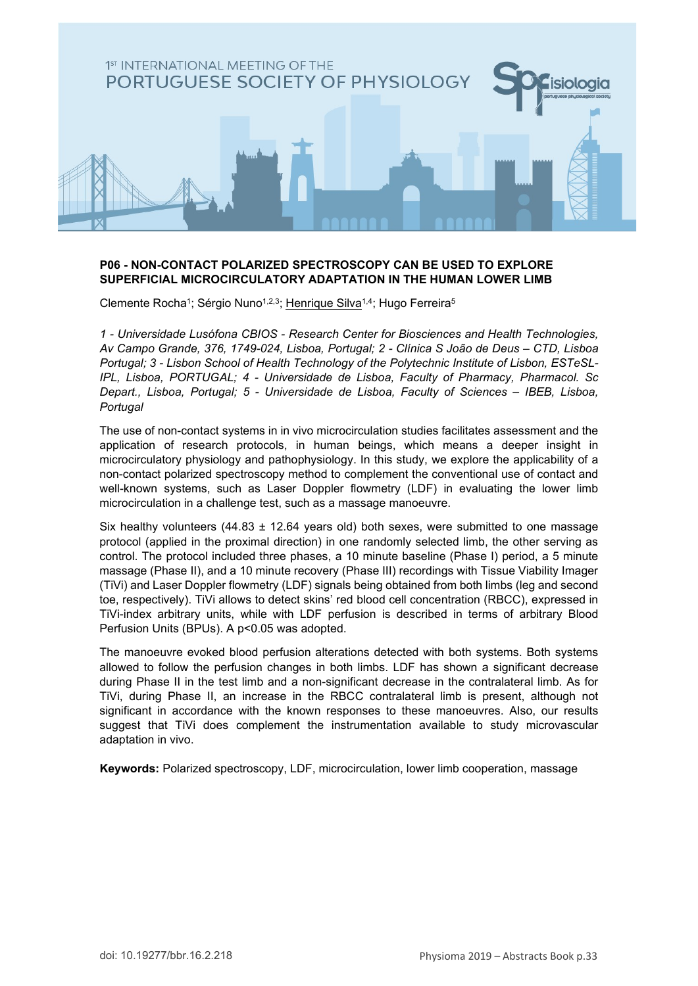

#### **P06 - NON-CONTACT POLARIZED SPECTROSCOPY CAN BE USED TO EXPLORE SUPERFICIAL MICROCIRCULATORY ADAPTATION IN THE HUMAN LOWER LIMB**

Clemente Rocha<sup>1</sup>; Sérgio Nuno<sup>1,2,3</sup>; Henrique Silva<sup>1,4</sup>; Hugo Ferreira<sup>5</sup>

*1 - Universidade Lusófona CBIOS - Research Center for Biosciences and Health Technologies, Av Campo Grande, 376, 1749-024, Lisboa, Portugal; 2 - Clínica S João de Deus – CTD, Lisboa Portugal; 3 - Lisbon School of Health Technology of the Polytechnic Institute of Lisbon, ESTeSL-IPL, Lisboa, PORTUGAL; 4 - Universidade de Lisboa, Faculty of Pharmacy, Pharmacol. Sc Depart., Lisboa, Portugal; 5 - Universidade de Lisboa, Faculty of Sciences – IBEB, Lisboa, Portugal*

The use of non-contact systems in in vivo microcirculation studies facilitates assessment and the application of research protocols, in human beings, which means a deeper insight in microcirculatory physiology and pathophysiology. In this study, we explore the applicability of a non-contact polarized spectroscopy method to complement the conventional use of contact and well-known systems, such as Laser Doppler flowmetry (LDF) in evaluating the lower limb microcirculation in a challenge test, such as a massage manoeuvre.

Six healthy volunteers  $(44.83 \pm 12.64$  years old) both sexes, were submitted to one massage protocol (applied in the proximal direction) in one randomly selected limb, the other serving as control. The protocol included three phases, a 10 minute baseline (Phase I) period, a 5 minute massage (Phase II), and a 10 minute recovery (Phase III) recordings with Tissue Viability Imager (TiVi) and Laser Doppler flowmetry (LDF) signals being obtained from both limbs (leg and second toe, respectively). TiVi allows to detect skins' red blood cell concentration (RBCC), expressed in TiVi-index arbitrary units, while with LDF perfusion is described in terms of arbitrary Blood Perfusion Units (BPUs). A p<0.05 was adopted.

The manoeuvre evoked blood perfusion alterations detected with both systems. Both systems allowed to follow the perfusion changes in both limbs. LDF has shown a significant decrease during Phase II in the test limb and a non-significant decrease in the contralateral limb. As for TiVi, during Phase II, an increase in the RBCC contralateral limb is present, although not significant in accordance with the known responses to these manoeuvres. Also, our results suggest that TiVi does complement the instrumentation available to study microvascular adaptation in vivo.

**Keywords:** Polarized spectroscopy, LDF, microcirculation, lower limb cooperation, massage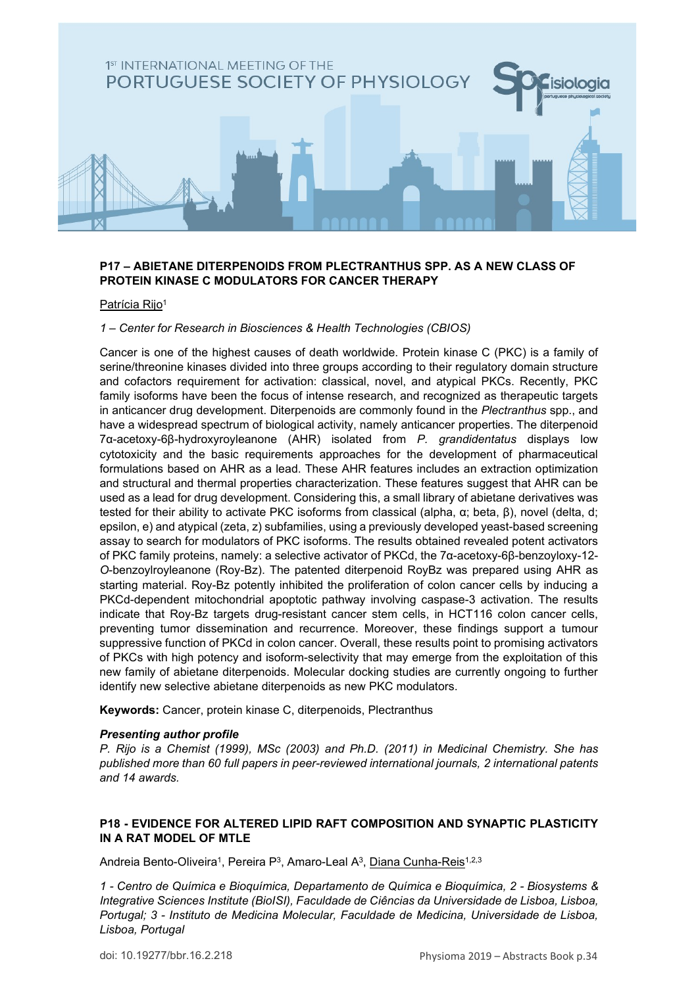

#### <span id="page-33-0"></span>**P17 – ABIETANE DITERPENOIDS FROM PLECTRANTHUS SPP. AS A NEW CLASS OF PROTEIN KINASE C MODULATORS FOR CANCER THERAPY**

#### Patrícia Rijo<sup>1</sup>

#### *1 – Center for Research in Biosciences & Health Technologies (CBIOS)*

Cancer is one of the highest causes of death worldwide. Protein kinase C (PKC) is a family of serine/threonine kinases divided into three groups according to their regulatory domain structure and cofactors requirement for activation: classical, novel, and atypical PKCs. Recently, PKC family isoforms have been the focus of intense research, and recognized as therapeutic targets in anticancer drug development. Diterpenoids are commonly found in the *Plectranthus* spp., and have a widespread spectrum of biological activity, namely anticancer properties. The diterpenoid 7α-acetoxy-6β-hydroxyroyleanone (AHR) isolated from *P. grandidentatus* displays low cytotoxicity and the basic requirements approaches for the development of pharmaceutical formulations based on AHR as a lead. These AHR features includes an extraction optimization and structural and thermal properties characterization. These features suggest that AHR can be used as a lead for drug development. Considering this, a small library of abietane derivatives was tested for their ability to activate PKC isoforms from classical (alpha, α; beta, β), novel (delta, d; epsilon, e) and atypical (zeta, z) subfamilies, using a previously developed yeast-based screening assay to search for modulators of PKC isoforms. The results obtained revealed potent activators of PKC family proteins, namely: a selective activator of PKCd, the 7α-acetoxy-6β-benzoyloxy-12- *O*-benzoylroyleanone (Roy-Bz). The patented diterpenoid RoyBz was prepared using AHR as starting material. Roy-Bz potently inhibited the proliferation of colon cancer cells by inducing a PKCd-dependent mitochondrial apoptotic pathway involving caspase-3 activation. The results indicate that Roy-Bz targets drug-resistant cancer stem cells, in HCT116 colon cancer cells, preventing tumor dissemination and recurrence. Moreover, these findings support a tumour suppressive function of PKCd in colon cancer. Overall, these results point to promising activators of PKCs with high potency and isoform-selectivity that may emerge from the exploitation of this new family of abietane diterpenoids. Molecular docking studies are currently ongoing to further identify new selective abietane diterpenoids as new PKC modulators.

**Keywords:** Cancer, protein kinase C, diterpenoids, Plectranthus

#### *Presenting author profile*

*P. Rijo is a Chemist (1999), MSc (2003) and Ph.D. (2011) in Medicinal Chemistry. She has published more than 60 full papers in peer-reviewed international journals, 2 international patents and 14 awards.*

#### **P18 - EVIDENCE FOR ALTERED LIPID RAFT COMPOSITION AND SYNAPTIC PLASTICITY IN A RAT MODEL OF MTLE**

Andreia Bento-Oliveira<sup>1</sup>, Pereira P<sup>3</sup>, Amaro-Leal A<sup>3</sup>, Diana Cunha-Reis<sup>1,2,3</sup>

*1 - Centro de Química e Bioquímica, Departamento de Química e Bioquímica, 2 - Biosystems & Integrative Sciences Institute (BioISI), Faculdade de Ciências da Universidade de Lisboa, Lisboa, Portugal; 3 - Instituto de Medicina Molecular, Faculdade de Medicina, Universidade de Lisboa, Lisboa, Portugal*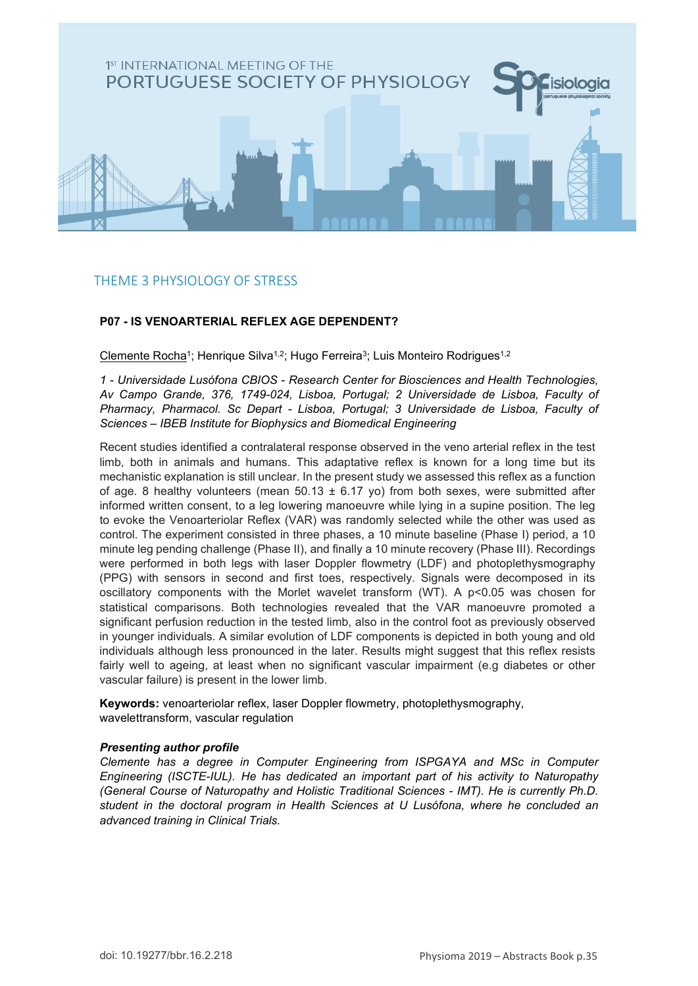

# THEME 3 PHYSIOLOGY OF STRESS

## **P07 - IS VENOARTERIAL REFLEX AGE DEPENDENT?**

Clemente Rocha<sup>1</sup>; Henrique Silva<sup>1,2</sup>; Hugo Ferreira<sup>3</sup>; Luis Monteiro Rodrigues<sup>1,2</sup>

*1 - Universidade Lusófona CBIOS - Research Center for Biosciences and Health Technologies, Av Campo Grande, 376, 1749-024, Lisboa, Portugal; 2 Universidade de Lisboa, Faculty of Pharmacy, Pharmacol. Sc Depart - Lisboa, Portugal; 3 Universidade de Lisboa, Faculty of Sciences – IBEB Institute for Biophysics and Biomedical Engineering*

Recent studies identified a contralateral response observed in the veno arterial reflex in the test limb, both in animals and humans. This adaptative reflex is known for a long time but its mechanistic explanation is still unclear. In the present study we assessed this reflex as a function of age. 8 healthy volunteers (mean  $50.13 \pm 6.17$  yo) from both sexes, were submitted after informed written consent, to a leg lowering manoeuvre while lying in a supine position. The leg to evoke the Venoarteriolar Reflex (VAR) was randomly selected while the other was used as control. The experiment consisted in three phases, a 10 minute baseline (Phase I) period, a 10 minute leg pending challenge (Phase II), and finally a 10 minute recovery (Phase III). Recordings were performed in both legs with laser Doppler flowmetry (LDF) and photoplethysmography (PPG) with sensors in second and first toes, respectively. Signals were decomposed in its oscillatory components with the Morlet wavelet transform (WT). A p<0.05 was chosen for statistical comparisons. Both technologies revealed that the VAR manoeuvre promoted a significant perfusion reduction in the tested limb, also in the control foot as previously observed in younger individuals. A similar evolution of LDF components is depicted in both young and old individuals although less pronounced in the later. Results might suggest that this reflex resists fairly well to ageing, at least when no significant vascular impairment (e.g diabetes or other vascular failure) is present in the lower limb.

**Keywords:** venoarteriolar reflex, laser Doppler flowmetry, photoplethysmography, wavelettransform, vascular regulation

#### *Presenting author profile*

*Clemente has a degree in Computer Engineering from ISPGAYA and MSc in Computer Engineering (ISCTE-IUL). He has dedicated an important part of his activity to Naturopathy (General Course of Naturopathy and Holistic Traditional Sciences - IMT). He is currently Ph.D. student in the doctoral program in Health Sciences at U Lusófona, where he concluded an advanced training in Clinical Trials.*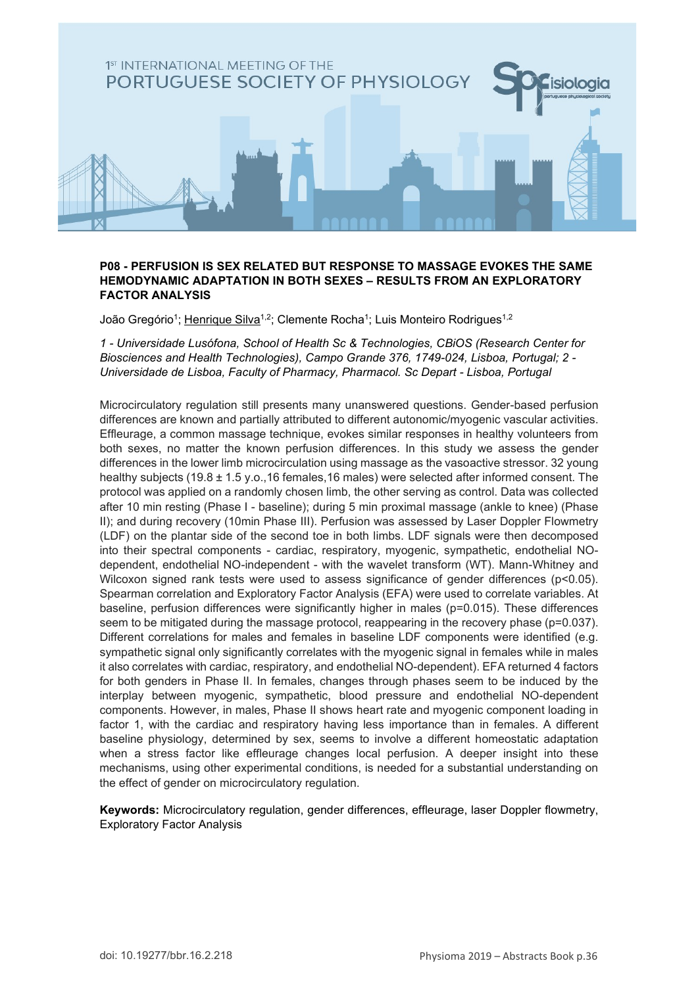

#### **P08 - PERFUSION IS SEX RELATED BUT RESPONSE TO MASSAGE EVOKES THE SAME HEMODYNAMIC ADAPTATION IN BOTH SEXES – RESULTS FROM AN EXPLORATORY FACTOR ANALYSIS**

João Gregório<sup>1</sup>; Henrique Silva<sup>1,2</sup>; Clemente Rocha<sup>1</sup>; Luis Monteiro Rodrigues<sup>1,2</sup>

*1 - Universidade Lusófona, School of Health Sc & Technologies, CBiOS (Research Center for Biosciences and Health Technologies), Campo Grande 376, 1749-024, Lisboa, Portugal; 2 - Universidade de Lisboa, Faculty of Pharmacy, Pharmacol. Sc Depart - Lisboa, Portugal*

Microcirculatory regulation still presents many unanswered questions. Gender-based perfusion differences are known and partially attributed to different autonomic/myogenic vascular activities. Effleurage, a common massage technique, evokes similar responses in healthy volunteers from both sexes, no matter the known perfusion differences. In this study we assess the gender differences in the lower limb microcirculation using massage as the vasoactive stressor. 32 young healthy subjects (19.8 ± 1.5 y.o.,16 females,16 males) were selected after informed consent. The protocol was applied on a randomly chosen limb, the other serving as control. Data was collected after 10 min resting (Phase I - baseline); during 5 min proximal massage (ankle to knee) (Phase II); and during recovery (10min Phase III). Perfusion was assessed by Laser Doppler Flowmetry (LDF) on the plantar side of the second toe in both limbs. LDF signals were then decomposed into their spectral components - cardiac, respiratory, myogenic, sympathetic, endothelial NOdependent, endothelial NO-independent - with the wavelet transform (WT). Mann-Whitney and Wilcoxon signed rank tests were used to assess significance of gender differences  $(p<0.05)$ . Spearman correlation and Exploratory Factor Analysis (EFA) were used to correlate variables. At baseline, perfusion differences were significantly higher in males (p=0.015). These differences seem to be mitigated during the massage protocol, reappearing in the recovery phase (p=0.037). Different correlations for males and females in baseline LDF components were identified (e.g. sympathetic signal only significantly correlates with the myogenic signal in females while in males it also correlates with cardiac, respiratory, and endothelial NO-dependent). EFA returned 4 factors for both genders in Phase II. In females, changes through phases seem to be induced by the interplay between myogenic, sympathetic, blood pressure and endothelial NO-dependent components. However, in males, Phase II shows heart rate and myogenic component loading in factor 1, with the cardiac and respiratory having less importance than in females. A different baseline physiology, determined by sex, seems to involve a different homeostatic adaptation when a stress factor like effleurage changes local perfusion. A deeper insight into these mechanisms, using other experimental conditions, is needed for a substantial understanding on the effect of gender on microcirculatory regulation.

**Keywords:** Microcirculatory regulation, gender differences, effleurage, laser Doppler flowmetry, Exploratory Factor Analysis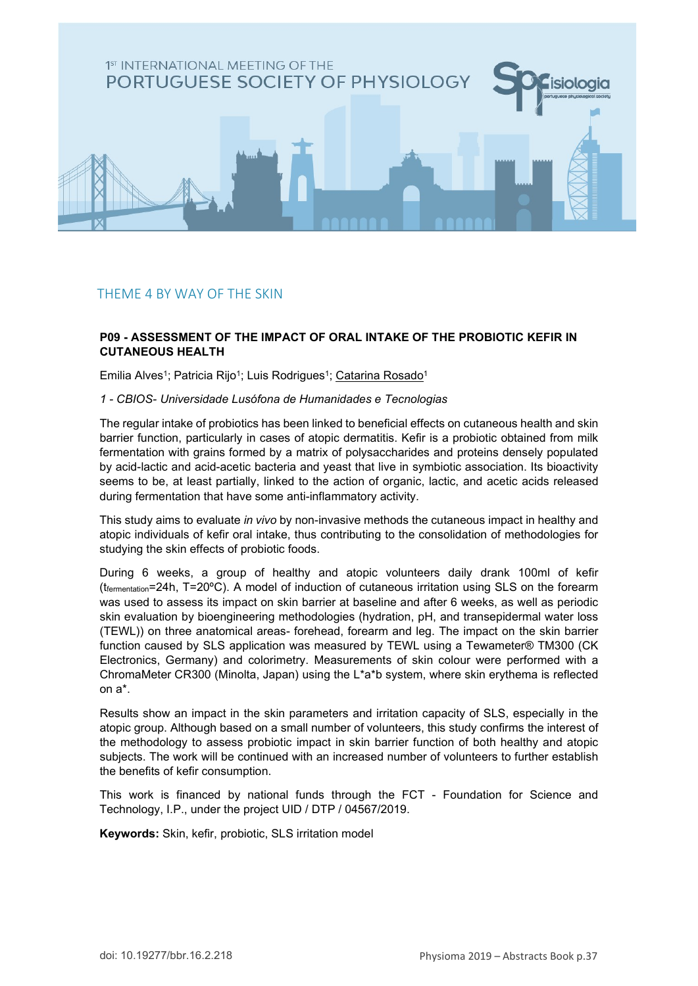

## <span id="page-36-0"></span>THEME 4 BY WAY OF THE SKIN

#### **P09 - ASSESSMENT OF THE IMPACT OF ORAL INTAKE OF THE PROBIOTIC KEFIR IN CUTANEOUS HEALTH**

Emilia Alves<sup>1</sup>; Patricia Rijo<sup>1</sup>; Luis Rodrigues<sup>1</sup>; Catarina Rosado<sup>1</sup>

#### *1 - CBIOS- Universidade Lusófona de Humanidades e Tecnologias*

The regular intake of probiotics has been linked to beneficial effects on cutaneous health and skin barrier function, particularly in cases of atopic dermatitis. Kefir is a probiotic obtained from milk fermentation with grains formed by a matrix of polysaccharides and proteins densely populated by acid-lactic and acid-acetic bacteria and yeast that live in symbiotic association. Its bioactivity seems to be, at least partially, linked to the action of organic, lactic, and acetic acids released during fermentation that have some anti-inflammatory activity.

This study aims to evaluate *in vivo* by non-invasive methods the cutaneous impact in healthy and atopic individuals of kefir oral intake, thus contributing to the consolidation of methodologies for studying the skin effects of probiotic foods.

During 6 weeks, a group of healthy and atopic volunteers daily drank 100ml of kefir (tfermentation=24h, T=20ºC). A model of induction of cutaneous irritation using SLS on the forearm was used to assess its impact on skin barrier at baseline and after 6 weeks, as well as periodic skin evaluation by bioengineering methodologies (hydration, pH, and transepidermal water loss (TEWL)) on three anatomical areas- forehead, forearm and leg. The impact on the skin barrier function caused by SLS application was measured by TEWL using a Tewameter® TM300 (CK Electronics, Germany) and colorimetry. Measurements of skin colour were performed with a ChromaMeter CR300 (Minolta, Japan) using the L\*a\*b system, where skin erythema is reflected on a\*.

Results show an impact in the skin parameters and irritation capacity of SLS, especially in the atopic group. Although based on a small number of volunteers, this study confirms the interest of the methodology to assess probiotic impact in skin barrier function of both healthy and atopic subjects. The work will be continued with an increased number of volunteers to further establish the benefits of kefir consumption.

This work is financed by national funds through the FCT - Foundation for Science and Technology, I.P., under the project UID / DTP / 04567/2019.

**Keywords:** Skin, kefir, probiotic, SLS irritation model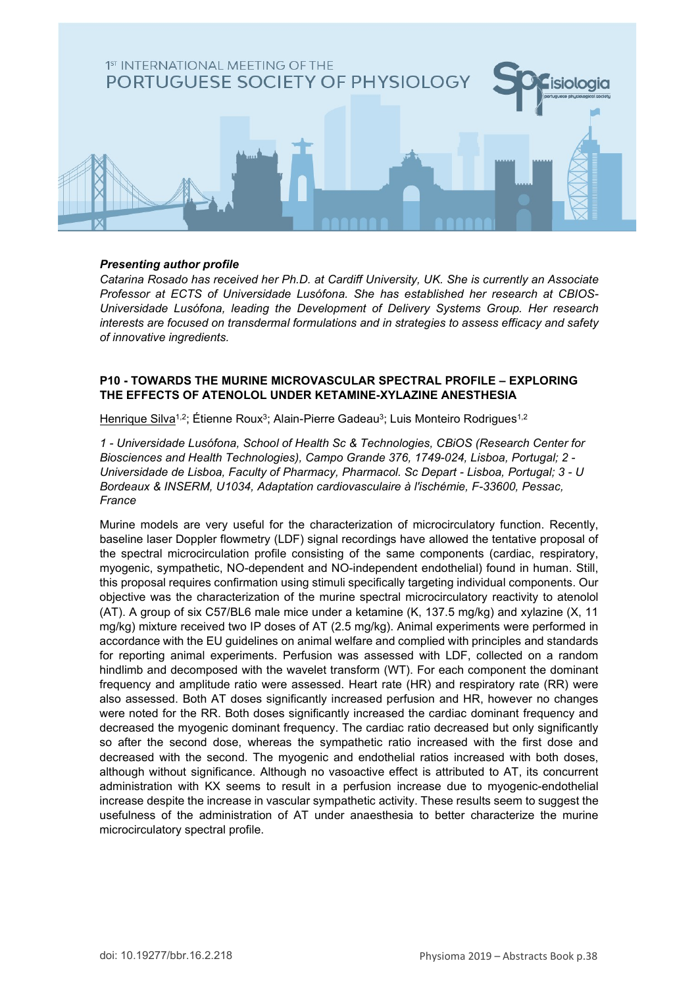

#### *Presenting author profile*

*Catarina Rosado has received her Ph.D. at Cardiff University, UK. She is currently an Associate Professor at ECTS of Universidade Lusófona. She has established her research at CBIOS-Universidade Lusófona, leading the Development of Delivery Systems Group. Her research interests are focused on transdermal formulations and in strategies to assess efficacy and safety of innovative ingredients.*

#### **P10 - TOWARDS THE MURINE MICROVASCULAR SPECTRAL PROFILE – EXPLORING THE EFFECTS OF ATENOLOL UNDER KETAMINE-XYLAZINE ANESTHESIA**

Henrique Silva<sup>1,2</sup>; Étienne Roux<sup>3</sup>; Alain-Pierre Gadeau<sup>3</sup>; Luis Monteiro Rodrigues<sup>1,2</sup>

*1 - Universidade Lusófona, School of Health Sc & Technologies, CBiOS (Research Center for Biosciences and Health Technologies), Campo Grande 376, 1749-024, Lisboa, Portugal; 2 - Universidade de Lisboa, Faculty of Pharmacy, Pharmacol. Sc Depart - Lisboa, Portugal; 3 - U Bordeaux & INSERM, U1034, Adaptation cardiovasculaire à l'ischémie, F-33600, Pessac, France*

Murine models are very useful for the characterization of microcirculatory function. Recently, baseline laser Doppler flowmetry (LDF) signal recordings have allowed the tentative proposal of the spectral microcirculation profile consisting of the same components (cardiac, respiratory, myogenic, sympathetic, NO-dependent and NO-independent endothelial) found in human. Still, this proposal requires confirmation using stimuli specifically targeting individual components. Our objective was the characterization of the murine spectral microcirculatory reactivity to atenolol (AT). A group of six C57/BL6 male mice under a ketamine (K, 137.5 mg/kg) and xylazine (X, 11 mg/kg) mixture received two IP doses of AT (2.5 mg/kg). Animal experiments were performed in accordance with the EU guidelines on animal welfare and complied with principles and standards for reporting animal experiments. Perfusion was assessed with LDF, collected on a random hindlimb and decomposed with the wavelet transform (WT). For each component the dominant frequency and amplitude ratio were assessed. Heart rate (HR) and respiratory rate (RR) were also assessed. Both AT doses significantly increased perfusion and HR, however no changes were noted for the RR. Both doses significantly increased the cardiac dominant frequency and decreased the myogenic dominant frequency. The cardiac ratio decreased but only significantly so after the second dose, whereas the sympathetic ratio increased with the first dose and decreased with the second. The myogenic and endothelial ratios increased with both doses, although without significance. Although no vasoactive effect is attributed to AT, its concurrent administration with KX seems to result in a perfusion increase due to myogenic-endothelial increase despite the increase in vascular sympathetic activity. These results seem to suggest the usefulness of the administration of AT under anaesthesia to better characterize the murine microcirculatory spectral profile.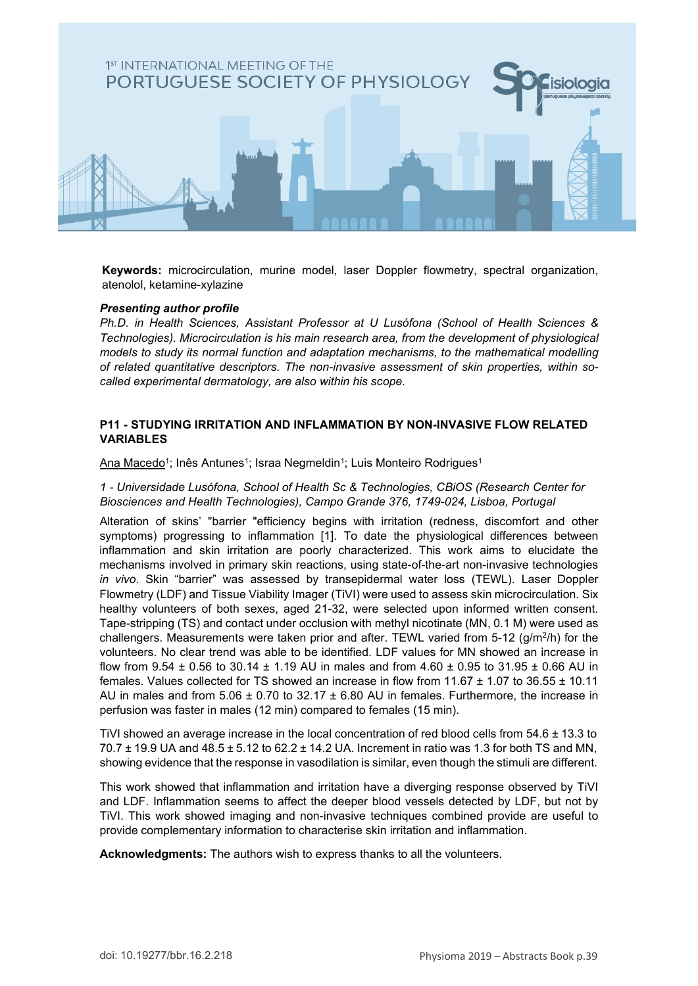

**Keywords:** microcirculation, murine model, laser Doppler flowmetry, spectral organization, atenolol, ketamine-xylazine

#### *Presenting author profile*

*Ph.D. in Health Sciences, Assistant Professor at U Lusófona (School of Health Sciences & Technologies). Microcirculation is his main research area, from the development of physiological models to study its normal function and adaptation mechanisms, to the mathematical modelling of related quantitative descriptors. The non-invasive assessment of skin properties, within socalled experimental dermatology, are also within his scope.*

#### **P11 - STUDYING IRRITATION AND INFLAMMATION BY NON-INVASIVE FLOW RELATED VARIABLES**

Ana Macedo<sup>1</sup>; Inês Antunes<sup>1</sup>; Israa Negmeldin<sup>1</sup>; Luis Monteiro Rodrigues<sup>1</sup>

#### *1 - Universidade Lusófona, School of Health Sc & Technologies, CBiOS (Research Center for Biosciences and Health Technologies), Campo Grande 376, 1749-024, Lisboa, Portugal*

Alteration of skins' "barrier "efficiency begins with irritation (redness, discomfort and other symptoms) progressing to inflammation [1]. To date the physiological differences between inflammation and skin irritation are poorly characterized. This work aims to elucidate the mechanisms involved in primary skin reactions, using state-of-the-art non-invasive technologies *in vivo*. Skin "barrier" was assessed by transepidermal water loss (TEWL). Laser Doppler Flowmetry (LDF) and Tissue Viability Imager (TiVI) were used to assess skin microcirculation. Six healthy volunteers of both sexes, aged 21-32, were selected upon informed written consent. Tape-stripping (TS) and contact under occlusion with methyl nicotinate (MN, 0.1 M) were used as challengers. Measurements were taken prior and after. TEWL varied from  $5-12$  (g/m<sup>2</sup>/h) for the volunteers. No clear trend was able to be identified. LDF values for MN showed an increase in flow from 9.54  $\pm$  0.56 to 30.14  $\pm$  1.19 AU in males and from 4.60  $\pm$  0.95 to 31.95  $\pm$  0.66 AU in females. Values collected for TS showed an increase in flow from  $11.67 \pm 1.07$  to  $36.55 \pm 10.11$ AU in males and from  $5.06 \pm 0.70$  to  $32.17 \pm 6.80$  AU in females. Furthermore, the increase in perfusion was faster in males (12 min) compared to females (15 min).

TiVI showed an average increase in the local concentration of red blood cells from 54.6 ± 13.3 to 70.7  $\pm$  19.9 UA and 48.5  $\pm$  5.12 to 62.2  $\pm$  14.2 UA. Increment in ratio was 1.3 for both TS and MN, showing evidence that the response in vasodilation is similar, even though the stimuli are different.

This work showed that inflammation and irritation have a diverging response observed by TiVI and LDF. Inflammation seems to affect the deeper blood vessels detected by LDF, but not by TiVI. This work showed imaging and non-invasive techniques combined provide are useful to provide complementary information to characterise skin irritation and inflammation.

**Acknowledgments:** The authors wish to express thanks to all the volunteers.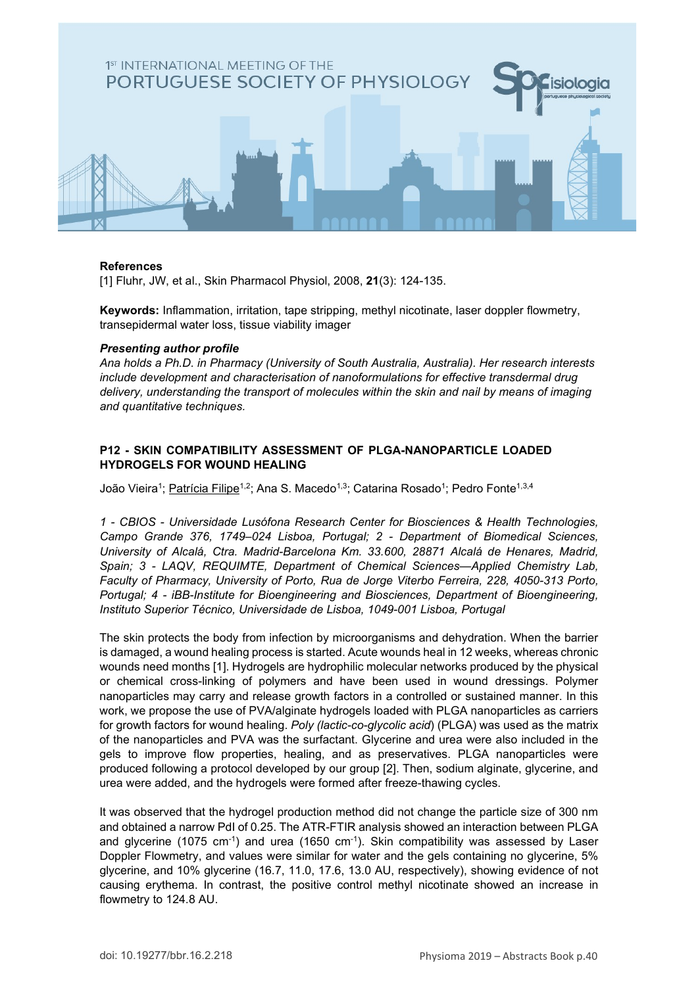

#### **References**

[1] Fluhr, JW, et al., Skin Pharmacol Physiol, 2008, **21**(3): 124-135.

**Keywords:** Inflammation, irritation, tape stripping, methyl nicotinate, laser doppler flowmetry, transepidermal water loss, tissue viability imager

#### *Presenting author profile*

*Ana holds a Ph.D. in Pharmacy (University of South Australia, Australia). Her research interests include development and characterisation of nanoformulations for effective transdermal drug delivery, understanding the transport of molecules within the skin and nail by means of imaging and quantitative techniques.*

#### **P12 - SKIN COMPATIBILITY ASSESSMENT OF PLGA-NANOPARTICLE LOADED HYDROGELS FOR WOUND HEALING**

João Vieira<sup>1</sup>; Patrícia Filipe<sup>1,2</sup>; Ana S. Macedo<sup>1,3</sup>; Catarina Rosado<sup>1</sup>; Pedro Fonte<sup>1,3,4</sup>

*1 - CBIOS - Universidade Lusófona Research Center for Biosciences & Health Technologies, Campo Grande 376, 1749–024 Lisboa, Portugal; 2 - Department of Biomedical Sciences, University of Alcalá, Ctra. Madrid-Barcelona Km. 33.600, 28871 Alcalá de Henares, Madrid, Spain; 3 - LAQV, REQUIMTE, Department of Chemical Sciences—Applied Chemistry Lab, Faculty of Pharmacy, University of Porto, Rua de Jorge Viterbo Ferreira, 228, 4050-313 Porto, Portugal; 4 - iBB-Institute for Bioengineering and Biosciences, Department of Bioengineering, Instituto Superior Técnico, Universidade de Lisboa, 1049-001 Lisboa, Portugal*

The skin protects the body from infection by microorganisms and dehydration. When the barrier is damaged, a wound healing process is started. Acute wounds heal in 12 weeks, whereas chronic wounds need months [1]. Hydrogels are hydrophilic molecular networks produced by the physical or chemical cross-linking of polymers and have been used in wound dressings. Polymer nanoparticles may carry and release growth factors in a controlled or sustained manner. In this work, we propose the use of PVA/alginate hydrogels loaded with PLGA nanoparticles as carriers for growth factors for wound healing. *Poly (lactic-co-glycolic acid*) (PLGA) was used as the matrix of the nanoparticles and PVA was the surfactant. Glycerine and urea were also included in the gels to improve flow properties, healing, and as preservatives. PLGA nanoparticles were produced following a protocol developed by our group [2]. Then, sodium alginate, glycerine, and urea were added, and the hydrogels were formed after freeze-thawing cycles.

It was observed that the hydrogel production method did not change the particle size of 300 nm and obtained a narrow PdI of 0.25. The ATR-FTIR analysis showed an interaction between PLGA and glycerine (1075 cm-1) and urea (1650 cm-1). Skin compatibility was assessed by Laser Doppler Flowmetry, and values were similar for water and the gels containing no glycerine, 5% glycerine, and 10% glycerine (16.7, 11.0, 17.6, 13.0 AU, respectively), showing evidence of not causing erythema. In contrast, the positive control methyl nicotinate showed an increase in flowmetry to 124.8 AU.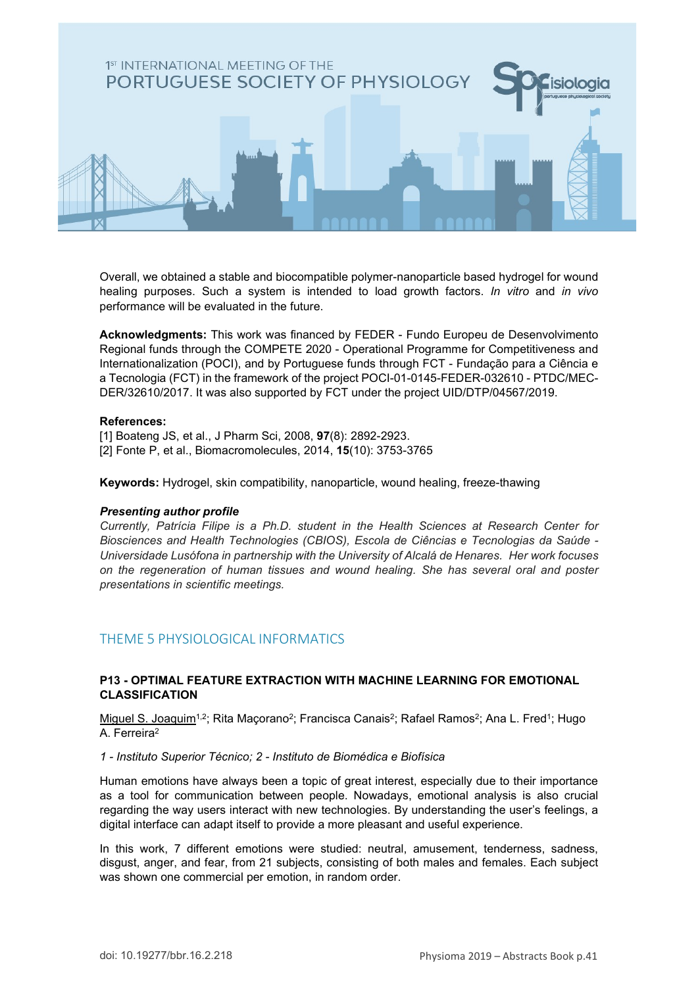

Overall, we obtained a stable and biocompatible polymer-nanoparticle based hydrogel for wound healing purposes. Such a system is intended to load growth factors. *In vitro* and *in vivo* performance will be evaluated in the future.

**Acknowledgments:** This work was financed by FEDER - Fundo Europeu de Desenvolvimento Regional funds through the COMPETE 2020 - Operational Programme for Competitiveness and Internationalization (POCI), and by Portuguese funds through FCT - Fundação para a Ciência e a Tecnologia (FCT) in the framework of the project POCI-01-0145-FEDER-032610 - PTDC/MEC-DER/32610/2017. It was also supported by FCT under the project UID/DTP/04567/2019.

#### **References:**

- [1] Boateng JS, et al., J Pharm Sci, 2008, **97**(8): 2892-2923.
- [2] Fonte P, et al., Biomacromolecules, 2014, **15**(10): 3753-3765

**Keywords:** Hydrogel, skin compatibility, nanoparticle, wound healing, freeze-thawing

#### *Presenting author profile*

*Currently, Patrícia Filipe is a Ph.D. student in the Health Sciences at Research Center for Biosciences and Health Technologies (CBIOS), Escola de Ciências e Tecnologias da Saúde - Universidade Lusófona in partnership with the University of Alcalá de Henares. Her work focuses on the regeneration of human tissues and wound healing. She has several oral and poster presentations in scientific meetings.*

# THEME 5 PHYSIOLOGICAL INFORMATICS

#### **P13 - OPTIMAL FEATURE EXTRACTION WITH MACHINE LEARNING FOR EMOTIONAL CLASSIFICATION**

Miguel S. Joaquim<sup>1,2</sup>; Rita Maçorano<sup>2</sup>; Francisca Canais<sup>2</sup>; Rafael Ramos<sup>2</sup>; Ana L. Fred<sup>1</sup>; Hugo A. Ferreira2

#### *1 - Instituto Superior Técnico; 2 - Instituto de Biomédica e Biofísica*

Human emotions have always been a topic of great interest, especially due to their importance as a tool for communication between people. Nowadays, emotional analysis is also crucial regarding the way users interact with new technologies. By understanding the user's feelings, a digital interface can adapt itself to provide a more pleasant and useful experience.

In this work, 7 different emotions were studied: neutral, amusement, tenderness, sadness, disgust, anger, and fear, from 21 subjects, consisting of both males and females. Each subject was shown one commercial per emotion, in random order.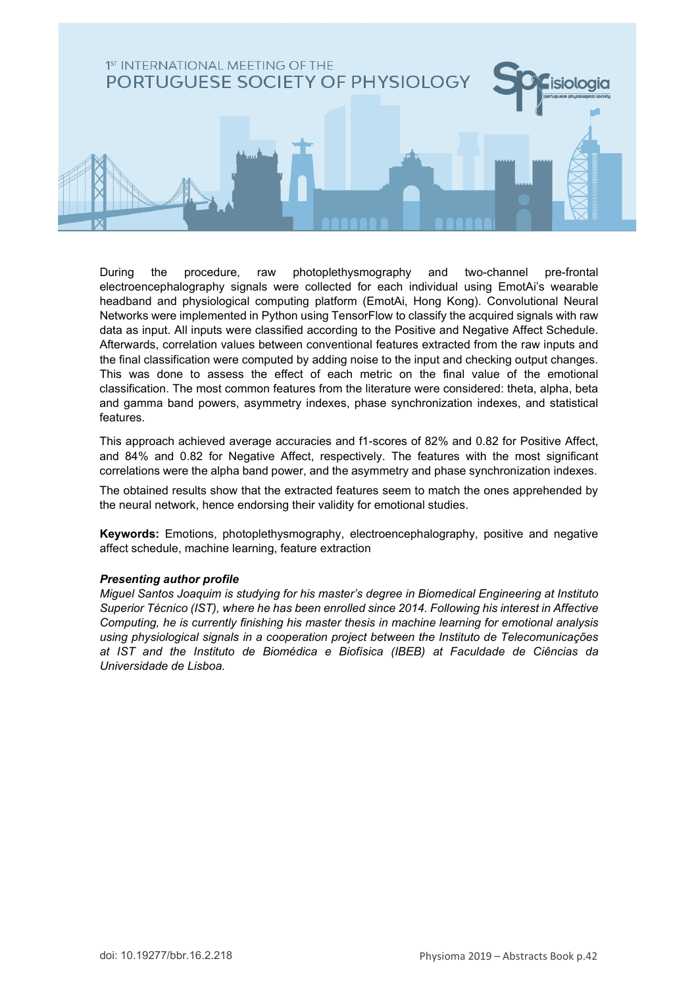

<span id="page-41-0"></span>During the procedure, raw photoplethysmography and two-channel pre-frontal electroencephalography signals were collected for each individual using EmotAi's wearable headband and physiological computing platform (EmotAi, Hong Kong). Convolutional Neural Networks were implemented in Python using TensorFlow to classify the acquired signals with raw data as input. All inputs were classified according to the Positive and Negative Affect Schedule. Afterwards, correlation values between conventional features extracted from the raw inputs and the final classification were computed by adding noise to the input and checking output changes. This was done to assess the effect of each metric on the final value of the emotional classification. The most common features from the literature were considered: theta, alpha, beta and gamma band powers, asymmetry indexes, phase synchronization indexes, and statistical features.

This approach achieved average accuracies and f1-scores of 82% and 0.82 for Positive Affect, and 84% and 0.82 for Negative Affect, respectively. The features with the most significant correlations were the alpha band power, and the asymmetry and phase synchronization indexes.

The obtained results show that the extracted features seem to match the ones apprehended by the neural network, hence endorsing their validity for emotional studies.

**Keywords:** Emotions, photoplethysmography, electroencephalography, positive and negative affect schedule, machine learning, feature extraction

#### *Presenting author profile*

*Miguel Santos Joaquim is studying for his master's degree in Biomedical Engineering at Instituto Superior Técnico (IST), where he has been enrolled since 2014. Following his interest in Affective Computing, he is currently finishing his master thesis in machine learning for emotional analysis using physiological signals in a cooperation project between the Instituto de Telecomunicações at IST and the Instituto de Biomédica e Biofísica (IBEB) at Faculdade de Ciências da Universidade de Lisboa.*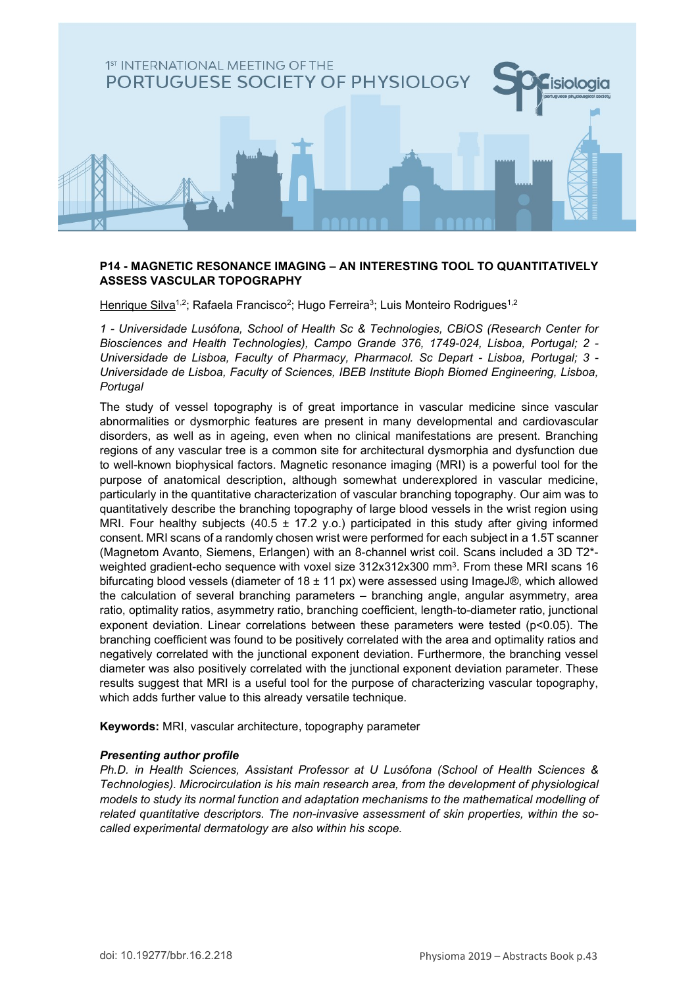

#### **P14 - MAGNETIC RESONANCE IMAGING – AN INTERESTING TOOL TO QUANTITATIVELY ASSESS VASCULAR TOPOGRAPHY**

Henrique Silva<sup>1,2</sup>; Rafaela Francisco<sup>2</sup>; Hugo Ferreira<sup>3</sup>; Luis Monteiro Rodrigues<sup>1,2</sup>

*1 - Universidade Lusófona, School of Health Sc & Technologies, CBiOS (Research Center for Biosciences and Health Technologies), Campo Grande 376, 1749-024, Lisboa, Portugal; 2 - Universidade de Lisboa, Faculty of Pharmacy, Pharmacol. Sc Depart - Lisboa, Portugal; 3 - Universidade de Lisboa, Faculty of Sciences, IBEB Institute Bioph Biomed Engineering, Lisboa, Portugal*

The study of vessel topography is of great importance in vascular medicine since vascular abnormalities or dysmorphic features are present in many developmental and cardiovascular disorders, as well as in ageing, even when no clinical manifestations are present. Branching regions of any vascular tree is a common site for architectural dysmorphia and dysfunction due to well-known biophysical factors. Magnetic resonance imaging (MRI) is a powerful tool for the purpose of anatomical description, although somewhat underexplored in vascular medicine, particularly in the quantitative characterization of vascular branching topography. Our aim was to quantitatively describe the branching topography of large blood vessels in the wrist region using MRI. Four healthy subjects (40.5  $\pm$  17.2 y.o.) participated in this study after giving informed consent. MRI scans of a randomly chosen wrist were performed for each subject in a 1.5T scanner (Magnetom Avanto, Siemens, Erlangen) with an 8-channel wrist coil. Scans included a 3D T2\* weighted gradient-echo sequence with voxel size 312x312x300 mm<sup>3</sup>. From these MRI scans 16 bifurcating blood vessels (diameter of  $18 \pm 11$  px) were assessed using ImageJ®, which allowed the calculation of several branching parameters – branching angle, angular asymmetry, area ratio, optimality ratios, asymmetry ratio, branching coefficient, length-to-diameter ratio, junctional exponent deviation. Linear correlations between these parameters were tested (p<0.05). The branching coefficient was found to be positively correlated with the area and optimality ratios and negatively correlated with the junctional exponent deviation. Furthermore, the branching vessel diameter was also positively correlated with the junctional exponent deviation parameter. These results suggest that MRI is a useful tool for the purpose of characterizing vascular topography, which adds further value to this already versatile technique.

**Keywords:** MRI, vascular architecture, topography parameter

#### *Presenting author profile*

*Ph.D. in Health Sciences, Assistant Professor at U Lusófona (School of Health Sciences & Technologies). Microcirculation is his main research area, from the development of physiological models to study its normal function and adaptation mechanisms to the mathematical modelling of related quantitative descriptors. The non-invasive assessment of skin properties, within the socalled experimental dermatology are also within his scope.*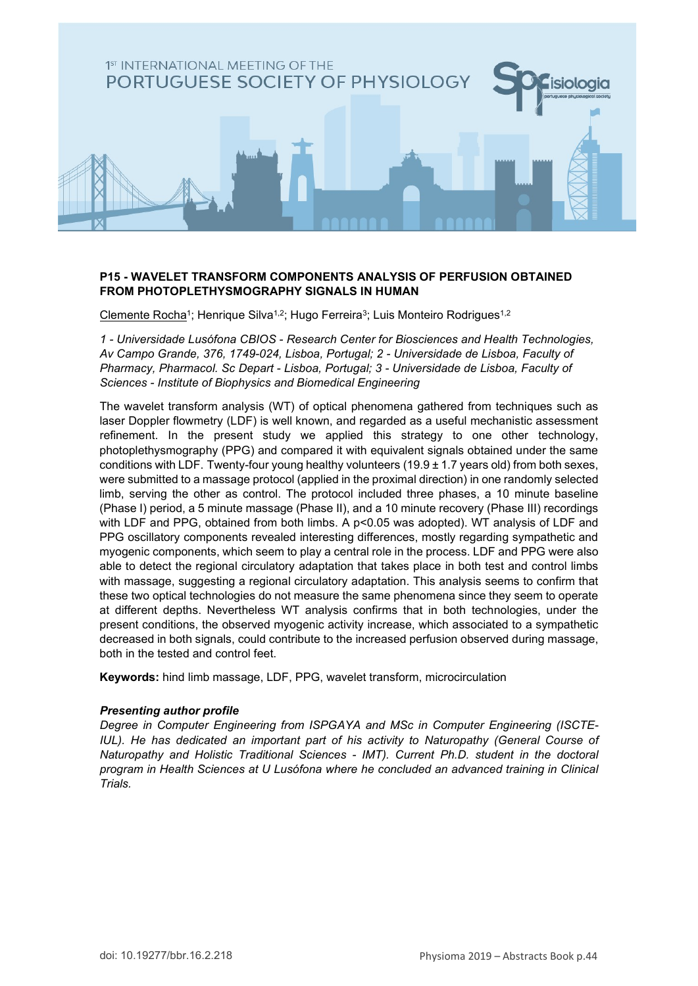

#### **P15 - WAVELET TRANSFORM COMPONENTS ANALYSIS OF PERFUSION OBTAINED FROM PHOTOPLETHYSMOGRAPHY SIGNALS IN HUMAN**

Clemente Rocha<sup>1</sup>; Henrique Silva<sup>1,2</sup>; Hugo Ferreira<sup>3</sup>; Luis Monteiro Rodrigues<sup>1,2</sup>

*1 - Universidade Lusófona CBIOS - Research Center for Biosciences and Health Technologies, Av Campo Grande, 376, 1749-024, Lisboa, Portugal; 2 - Universidade de Lisboa, Faculty of Pharmacy, Pharmacol. Sc Depart - Lisboa, Portugal; 3 - Universidade de Lisboa, Faculty of Sciences - Institute of Biophysics and Biomedical Engineering*

The wavelet transform analysis (WT) of optical phenomena gathered from techniques such as laser Doppler flowmetry (LDF) is well known, and regarded as a useful mechanistic assessment refinement. In the present study we applied this strategy to one other technology, photoplethysmography (PPG) and compared it with equivalent signals obtained under the same conditions with LDF. Twenty-four young healthy volunteers (19.9  $\pm$  1.7 years old) from both sexes, were submitted to a massage protocol (applied in the proximal direction) in one randomly selected limb, serving the other as control. The protocol included three phases, a 10 minute baseline (Phase I) period, a 5 minute massage (Phase II), and a 10 minute recovery (Phase III) recordings with LDF and PPG, obtained from both limbs. A p<0.05 was adopted). WT analysis of LDF and PPG oscillatory components revealed interesting differences, mostly regarding sympathetic and myogenic components, which seem to play a central role in the process. LDF and PPG were also able to detect the regional circulatory adaptation that takes place in both test and control limbs with massage, suggesting a regional circulatory adaptation. This analysis seems to confirm that these two optical technologies do not measure the same phenomena since they seem to operate at different depths. Nevertheless WT analysis confirms that in both technologies, under the present conditions, the observed myogenic activity increase, which associated to a sympathetic decreased in both signals, could contribute to the increased perfusion observed during massage, both in the tested and control feet.

**Keywords:** hind limb massage, LDF, PPG, wavelet transform, microcirculation

#### *Presenting author profile*

*Degree in Computer Engineering from ISPGAYA and MSc in Computer Engineering (ISCTE-IUL). He has dedicated an important part of his activity to Naturopathy (General Course of Naturopathy and Holistic Traditional Sciences - IMT). Current Ph.D. student in the doctoral program in Health Sciences at U Lusófona where he concluded an advanced training in Clinical Trials.*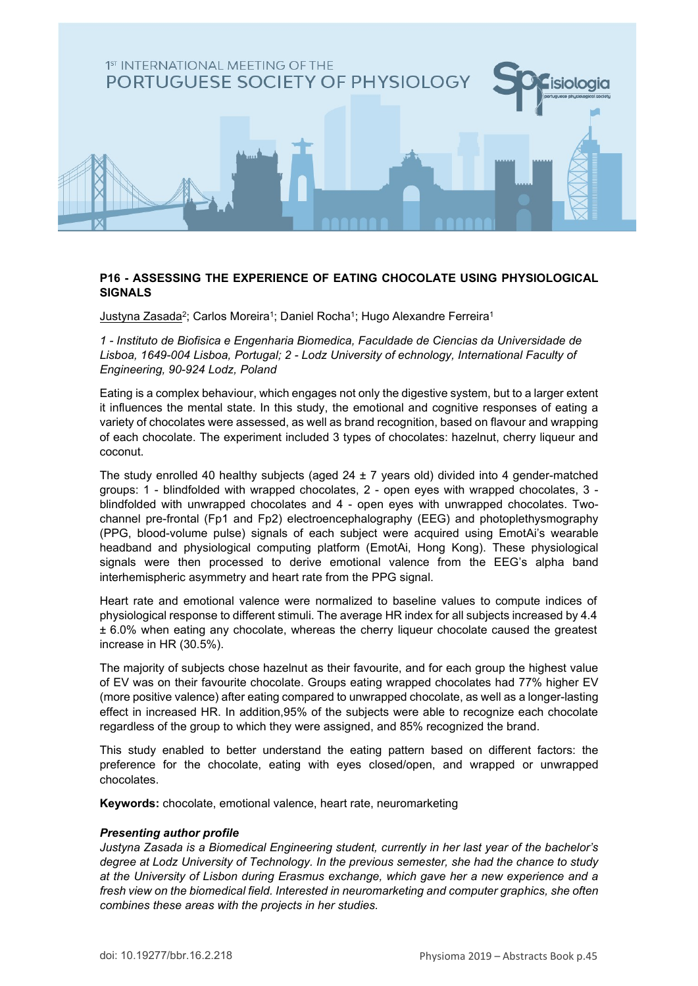

#### **P16 - ASSESSING THE EXPERIENCE OF EATING CHOCOLATE USING PHYSIOLOGICAL SIGNALS**

Justyna Zasada<sup>2</sup>; Carlos Moreira<sup>1</sup>; Daniel Rocha<sup>1</sup>; Hugo Alexandre Ferreira<sup>1</sup>

*1 - Instituto de Biofisica e Engenharia Biomedica, Faculdade de Ciencias da Universidade de Lisboa, 1649-004 Lisboa, Portugal; 2 - Lodz University of echnology, International Faculty of Engineering, 90-924 Lodz, Poland*

Eating is a complex behaviour, which engages not only the digestive system, but to a larger extent it influences the mental state. In this study, the emotional and cognitive responses of eating a variety of chocolates were assessed, as well as brand recognition, based on flavour and wrapping of each chocolate. The experiment included 3 types of chocolates: hazelnut, cherry liqueur and coconut.

The study enrolled 40 healthy subjects (aged  $24 \pm 7$  years old) divided into 4 gender-matched groups: 1 - blindfolded with wrapped chocolates, 2 - open eyes with wrapped chocolates, 3 blindfolded with unwrapped chocolates and 4 - open eyes with unwrapped chocolates. Twochannel pre-frontal (Fp1 and Fp2) electroencephalography (EEG) and photoplethysmography (PPG, blood-volume pulse) signals of each subject were acquired using EmotAi's wearable headband and physiological computing platform (EmotAi, Hong Kong). These physiological signals were then processed to derive emotional valence from the EEG's alpha band interhemispheric asymmetry and heart rate from the PPG signal.

Heart rate and emotional valence were normalized to baseline values to compute indices of physiological response to different stimuli. The average HR index for all subjects increased by 4.4 ± 6.0% when eating any chocolate, whereas the cherry liqueur chocolate caused the greatest increase in HR (30.5%).

The majority of subjects chose hazelnut as their favourite, and for each group the highest value of EV was on their favourite chocolate. Groups eating wrapped chocolates had 77% higher EV (more positive valence) after eating compared to unwrapped chocolate, as well as a longer-lasting effect in increased HR. In addition,95% of the subjects were able to recognize each chocolate regardless of the group to which they were assigned, and 85% recognized the brand.

This study enabled to better understand the eating pattern based on different factors: the preference for the chocolate, eating with eyes closed/open, and wrapped or unwrapped chocolates.

**Keywords:** chocolate, emotional valence, heart rate, neuromarketing

#### *Presenting author profile*

*Justyna Zasada is a Biomedical Engineering student, currently in her last year of the bachelor's degree at Lodz University of Technology. In the previous semester, she had the chance to study at the University of Lisbon during Erasmus exchange, which gave her a new experience and a fresh view on the biomedical field. Interested in neuromarketing and computer graphics, she often combines these areas with the projects in her studies.*